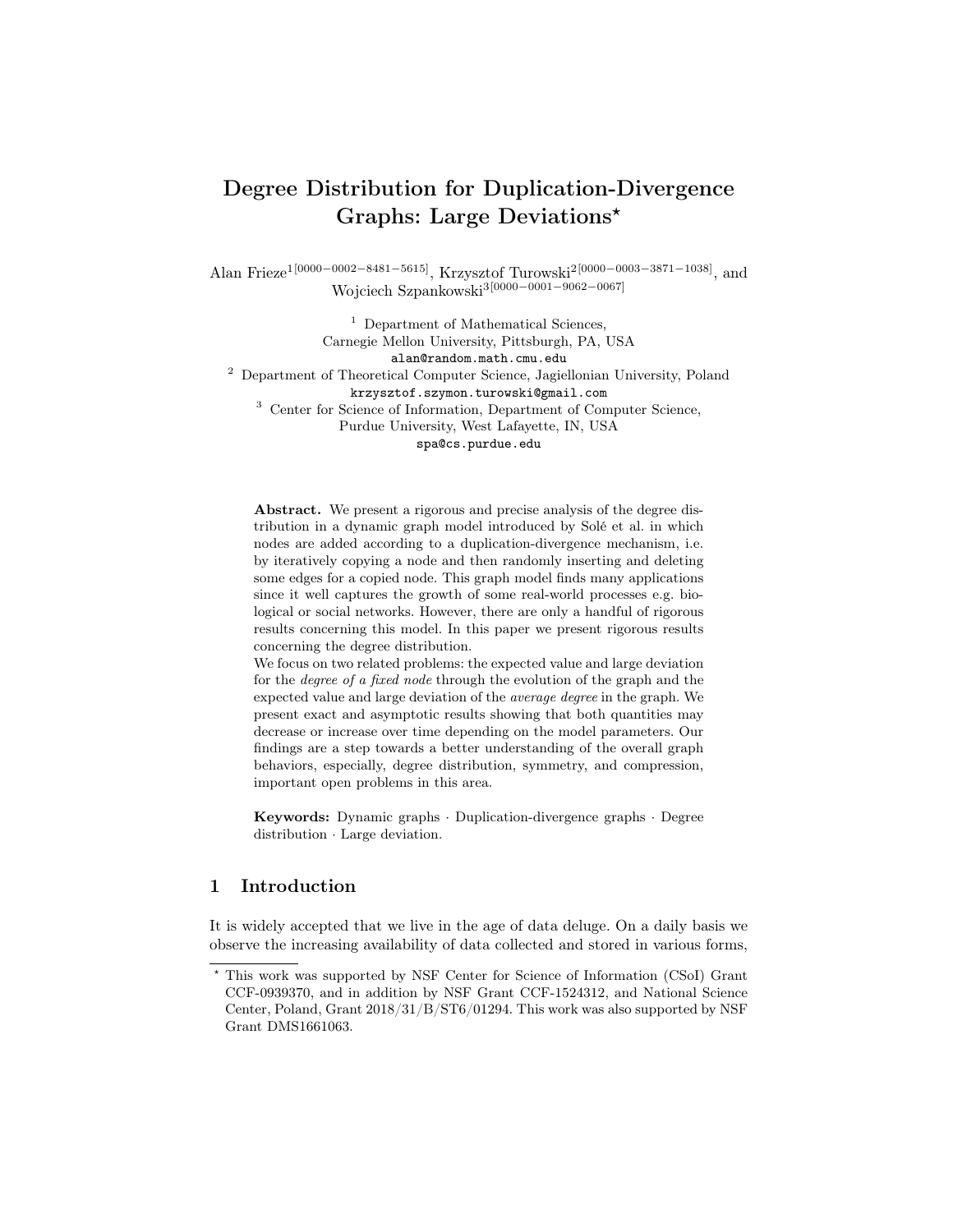# Degree Distribution for Duplication-Divergence Graphs: Large Deviations\*

Alan Frieze1[0000−0002−8481−5615], Krzysztof Turowski2[0000−0003−3871−1038], and Wojciech Szpankowski3[0000−0001−9062−0067]

<sup>1</sup> Department of Mathematical Sciences, Carnegie Mellon University, Pittsburgh, PA, USA alan@random.math.cmu.edu <sup>2</sup> Department of Theoretical Computer Science, Jagiellonian University, Poland krzysztof.szymon.turowski@gmail.com <sup>3</sup> Center for Science of Information, Department of Computer Science, Purdue University, West Lafayette, IN, USA

spa@cs.purdue.edu

Abstract. We present a rigorous and precise analysis of the degree distribution in a dynamic graph model introduced by Solé et al. in which nodes are added according to a duplication-divergence mechanism, i.e. by iteratively copying a node and then randomly inserting and deleting some edges for a copied node. This graph model finds many applications since it well captures the growth of some real-world processes e.g. biological or social networks. However, there are only a handful of rigorous results concerning this model. In this paper we present rigorous results concerning the degree distribution.

We focus on two related problems: the expected value and large deviation for the degree of a fixed node through the evolution of the graph and the expected value and large deviation of the average degree in the graph. We present exact and asymptotic results showing that both quantities may decrease or increase over time depending on the model parameters. Our findings are a step towards a better understanding of the overall graph behaviors, especially, degree distribution, symmetry, and compression, important open problems in this area.

Keywords: Dynamic graphs · Duplication-divergence graphs · Degree distribution · Large deviation.

### 1 Introduction

It is widely accepted that we live in the age of data deluge. On a daily basis we observe the increasing availability of data collected and stored in various forms,

<sup>?</sup> This work was supported by NSF Center for Science of Information (CSoI) Grant CCF-0939370, and in addition by NSF Grant CCF-1524312, and National Science Center, Poland, Grant 2018/31/B/ST6/01294. This work was also supported by NSF Grant DMS1661063.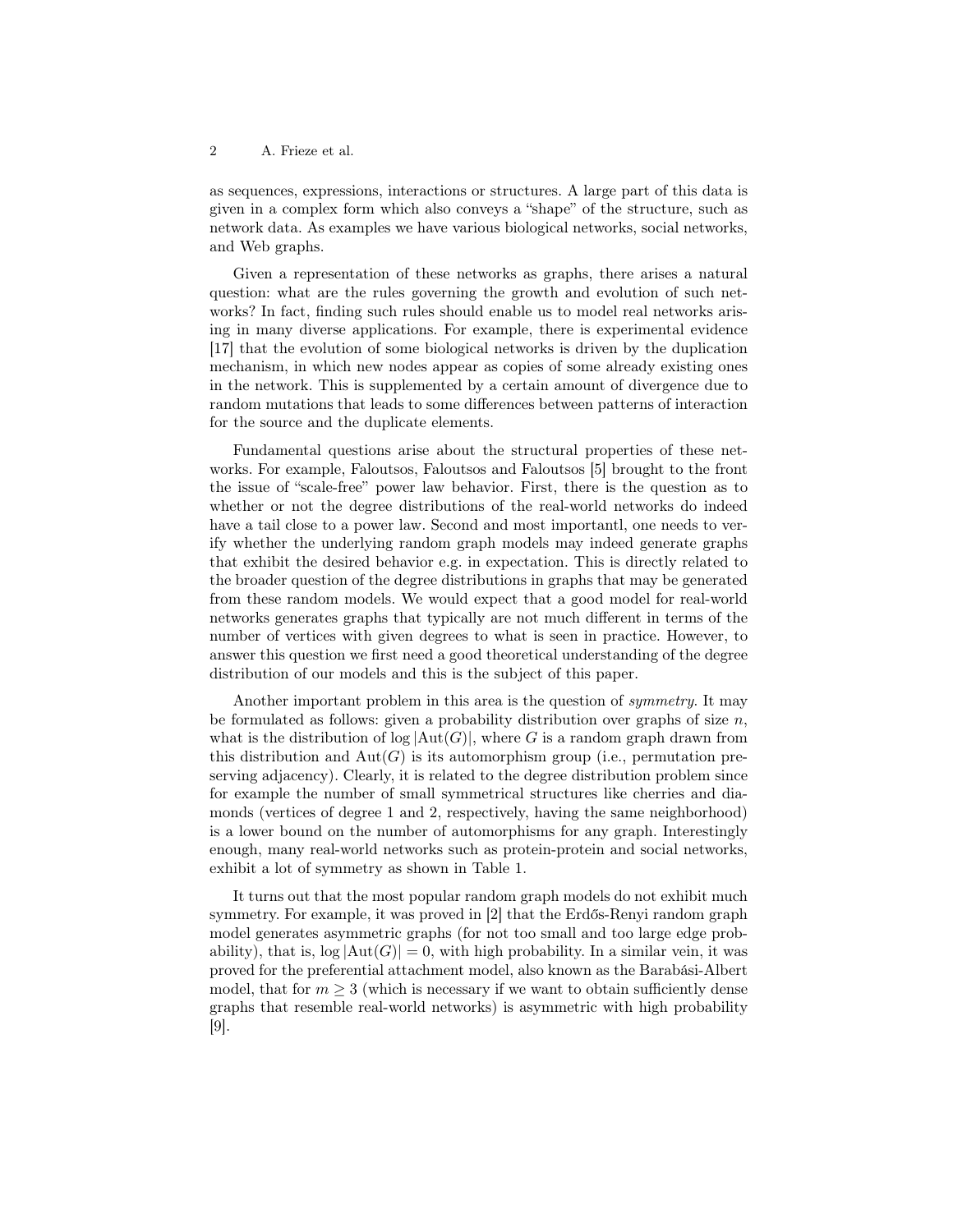as sequences, expressions, interactions or structures. A large part of this data is given in a complex form which also conveys a "shape" of the structure, such as network data. As examples we have various biological networks, social networks, and Web graphs.

Given a representation of these networks as graphs, there arises a natural question: what are the rules governing the growth and evolution of such networks? In fact, finding such rules should enable us to model real networks arising in many diverse applications. For example, there is experimental evidence [17] that the evolution of some biological networks is driven by the duplication mechanism, in which new nodes appear as copies of some already existing ones in the network. This is supplemented by a certain amount of divergence due to random mutations that leads to some differences between patterns of interaction for the source and the duplicate elements.

Fundamental questions arise about the structural properties of these networks. For example, Faloutsos, Faloutsos and Faloutsos [5] brought to the front the issue of "scale-free" power law behavior. First, there is the question as to whether or not the degree distributions of the real-world networks do indeed have a tail close to a power law. Second and most importantl, one needs to verify whether the underlying random graph models may indeed generate graphs that exhibit the desired behavior e.g. in expectation. This is directly related to the broader question of the degree distributions in graphs that may be generated from these random models. We would expect that a good model for real-world networks generates graphs that typically are not much different in terms of the number of vertices with given degrees to what is seen in practice. However, to answer this question we first need a good theoretical understanding of the degree distribution of our models and this is the subject of this paper.

Another important problem in this area is the question of symmetry. It may be formulated as follows: given a probability distribution over graphs of size  $n$ , what is the distribution of  $\log |\text{Aut}(G)|$ , where G is a random graph drawn from this distribution and  $Aut(G)$  is its automorphism group (i.e., permutation preserving adjacency). Clearly, it is related to the degree distribution problem since for example the number of small symmetrical structures like cherries and diamonds (vertices of degree 1 and 2, respectively, having the same neighborhood) is a lower bound on the number of automorphisms for any graph. Interestingly enough, many real-world networks such as protein-protein and social networks, exhibit a lot of symmetry as shown in Table 1.

It turns out that the most popular random graph models do not exhibit much symmetry. For example, it was proved in [2] that the Erdős-Renyi random graph model generates asymmetric graphs (for not too small and too large edge probability), that is,  $\log |\text{Aut}(G)| = 0$ , with high probability. In a similar vein, it was proved for the preferential attachment model, also known as the Barabási-Albert model, that for  $m \geq 3$  (which is necessary if we want to obtain sufficiently dense graphs that resemble real-world networks) is asymmetric with high probability [9].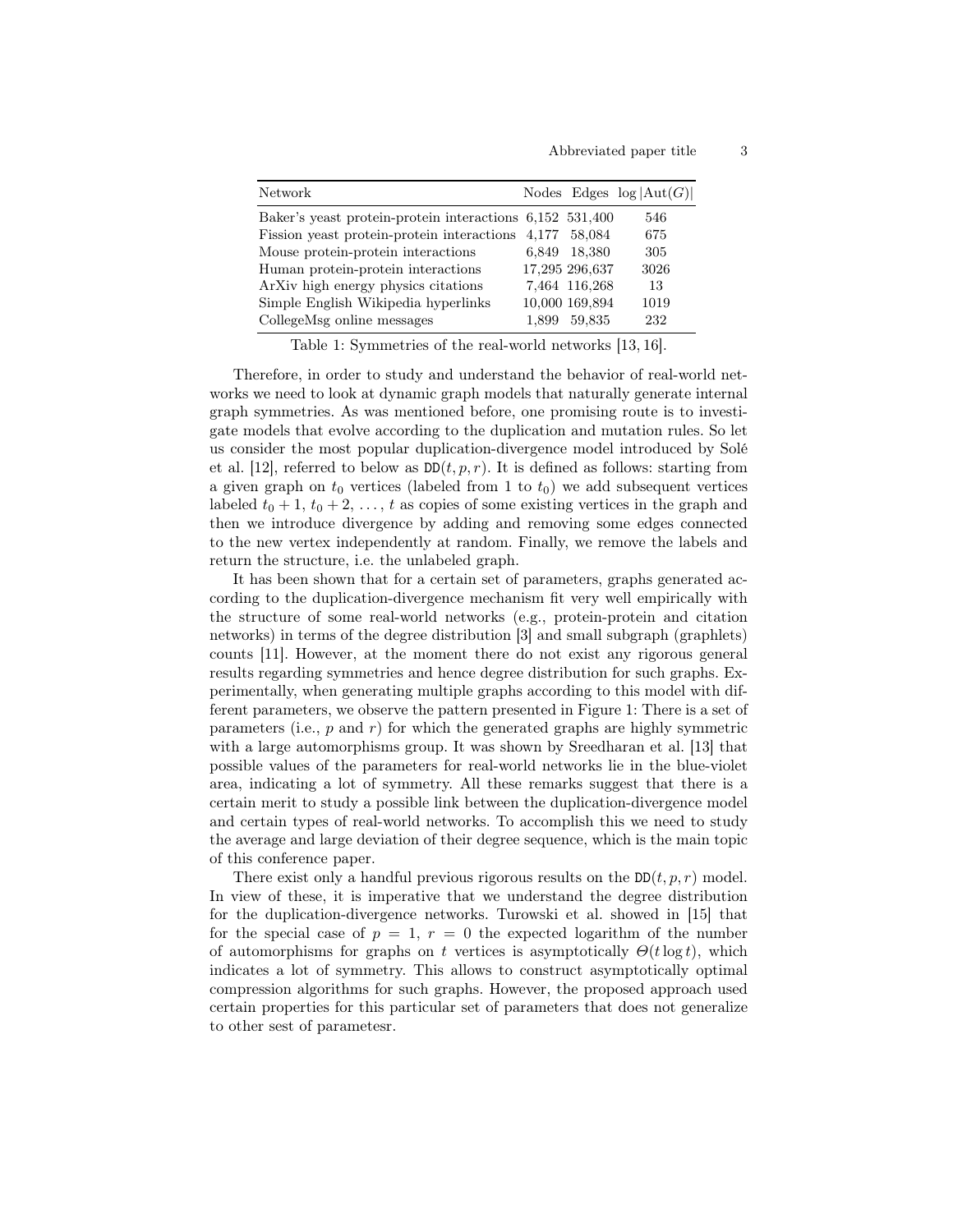| Network                                                  |       |                | Nodes Edges $log  Aut(G) $ |
|----------------------------------------------------------|-------|----------------|----------------------------|
| Baker's yeast protein-protein interactions 6,152 531,400 |       |                | 546                        |
| Fission yeast protein-protein interactions 4,177 58,084  |       |                | 675                        |
| Mouse protein-protein interactions                       |       | 6,849 18,380   | 305                        |
| Human protein-protein interactions                       |       | 17,295 296,637 | 3026                       |
| ArXiv high energy physics citations                      |       | 7,464 116,268  | 13                         |
| Simple English Wikipedia hyperlinks                      |       | 10,000 169,894 | 1019                       |
| CollegeMsg online messages                               | 1.899 | 59.835         | 232                        |

Table 1: Symmetries of the real-world networks [13, 16].

Therefore, in order to study and understand the behavior of real-world networks we need to look at dynamic graph models that naturally generate internal graph symmetries. As was mentioned before, one promising route is to investigate models that evolve according to the duplication and mutation rules. So let us consider the most popular duplication-divergence model introduced by Solé et al. [12], referred to below as  $DD(t, p, r)$ . It is defined as follows: starting from a given graph on  $t_0$  vertices (labeled from 1 to  $t_0$ ) we add subsequent vertices labeled  $t_0 + 1$ ,  $t_0 + 2, \ldots, t$  as copies of some existing vertices in the graph and then we introduce divergence by adding and removing some edges connected to the new vertex independently at random. Finally, we remove the labels and return the structure, i.e. the unlabeled graph.

It has been shown that for a certain set of parameters, graphs generated according to the duplication-divergence mechanism fit very well empirically with the structure of some real-world networks (e.g., protein-protein and citation networks) in terms of the degree distribution [3] and small subgraph (graphlets) counts [11]. However, at the moment there do not exist any rigorous general results regarding symmetries and hence degree distribution for such graphs. Experimentally, when generating multiple graphs according to this model with different parameters, we observe the pattern presented in Figure 1: There is a set of parameters (i.e.,  $p$  and  $r$ ) for which the generated graphs are highly symmetric with a large automorphisms group. It was shown by Sreedharan et al. [13] that possible values of the parameters for real-world networks lie in the blue-violet area, indicating a lot of symmetry. All these remarks suggest that there is a certain merit to study a possible link between the duplication-divergence model and certain types of real-world networks. To accomplish this we need to study the average and large deviation of their degree sequence, which is the main topic of this conference paper.

There exist only a handful previous rigorous results on the  $DD(t, p, r)$  model. In view of these, it is imperative that we understand the degree distribution for the duplication-divergence networks. Turowski et al. showed in [15] that for the special case of  $p = 1$ ,  $r = 0$  the expected logarithm of the number of automorphisms for graphs on t vertices is asymptotically  $\Theta(t \log t)$ , which indicates a lot of symmetry. This allows to construct asymptotically optimal compression algorithms for such graphs. However, the proposed approach used certain properties for this particular set of parameters that does not generalize to other sest of parametesr.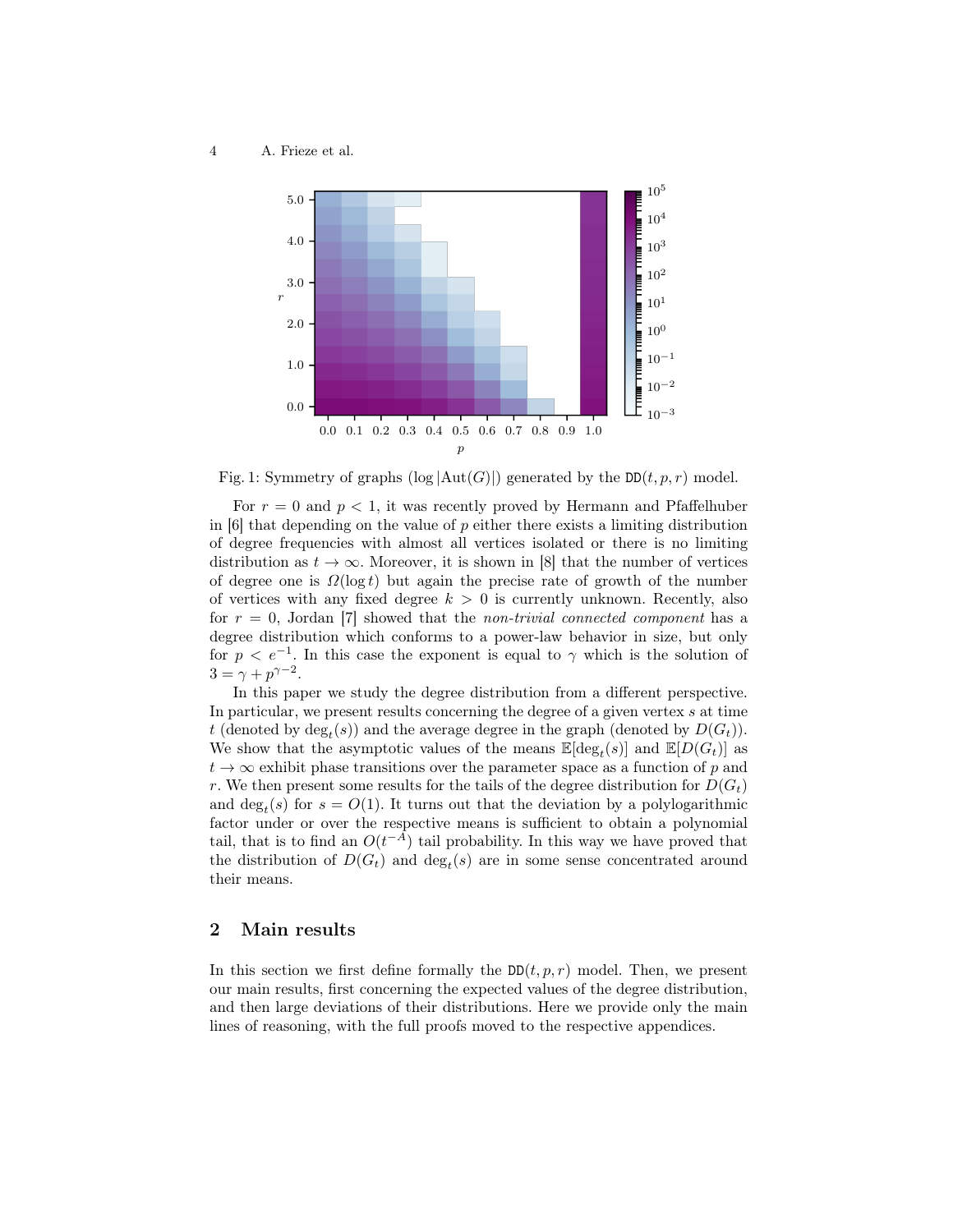

Fig. 1: Symmetry of graphs  $(\log |Aut(G)|)$  generated by the DD $(t, p, r)$  model.

For  $r = 0$  and  $p < 1$ , it was recently proved by Hermann and Pfaffelhuber in [6] that depending on the value of p either there exists a limiting distribution of degree frequencies with almost all vertices isolated or there is no limiting distribution as  $t \to \infty$ . Moreover, it is shown in [8] that the number of vertices of degree one is  $\Omega(\log t)$  but again the precise rate of growth of the number of vertices with any fixed degree  $k > 0$  is currently unknown. Recently, also for  $r = 0$ , Jordan [7] showed that the *non-trivial connected component* has a degree distribution which conforms to a power-law behavior in size, but only for  $p < e^{-1}$ . In this case the exponent is equal to  $\gamma$  which is the solution of  $3 = \gamma + p^{\gamma - 2}.$ 

In this paper we study the degree distribution from a different perspective. In particular, we present results concerning the degree of a given vertex s at time t (denoted by  $deg_t(s)$ ) and the average degree in the graph (denoted by  $D(G_t)$ ). We show that the asymptotic values of the means  $\mathbb{E}[\deg_t(s)]$  and  $\mathbb{E}[D(G_t)]$  as  $t \to \infty$  exhibit phase transitions over the parameter space as a function of p and r. We then present some results for the tails of the degree distribution for  $D(G_t)$ and  $\deg_t(s)$  for  $s = O(1)$ . It turns out that the deviation by a polylogarithmic factor under or over the respective means is sufficient to obtain a polynomial tail, that is to find an  $O(t^{-A})$  tail probability. In this way we have proved that the distribution of  $D(G_t)$  and  $\deg_t(s)$  are in some sense concentrated around their means.

#### 2 Main results

In this section we first define formally the  $DD(t, p, r)$  model. Then, we present our main results, first concerning the expected values of the degree distribution, and then large deviations of their distributions. Here we provide only the main lines of reasoning, with the full proofs moved to the respective appendices.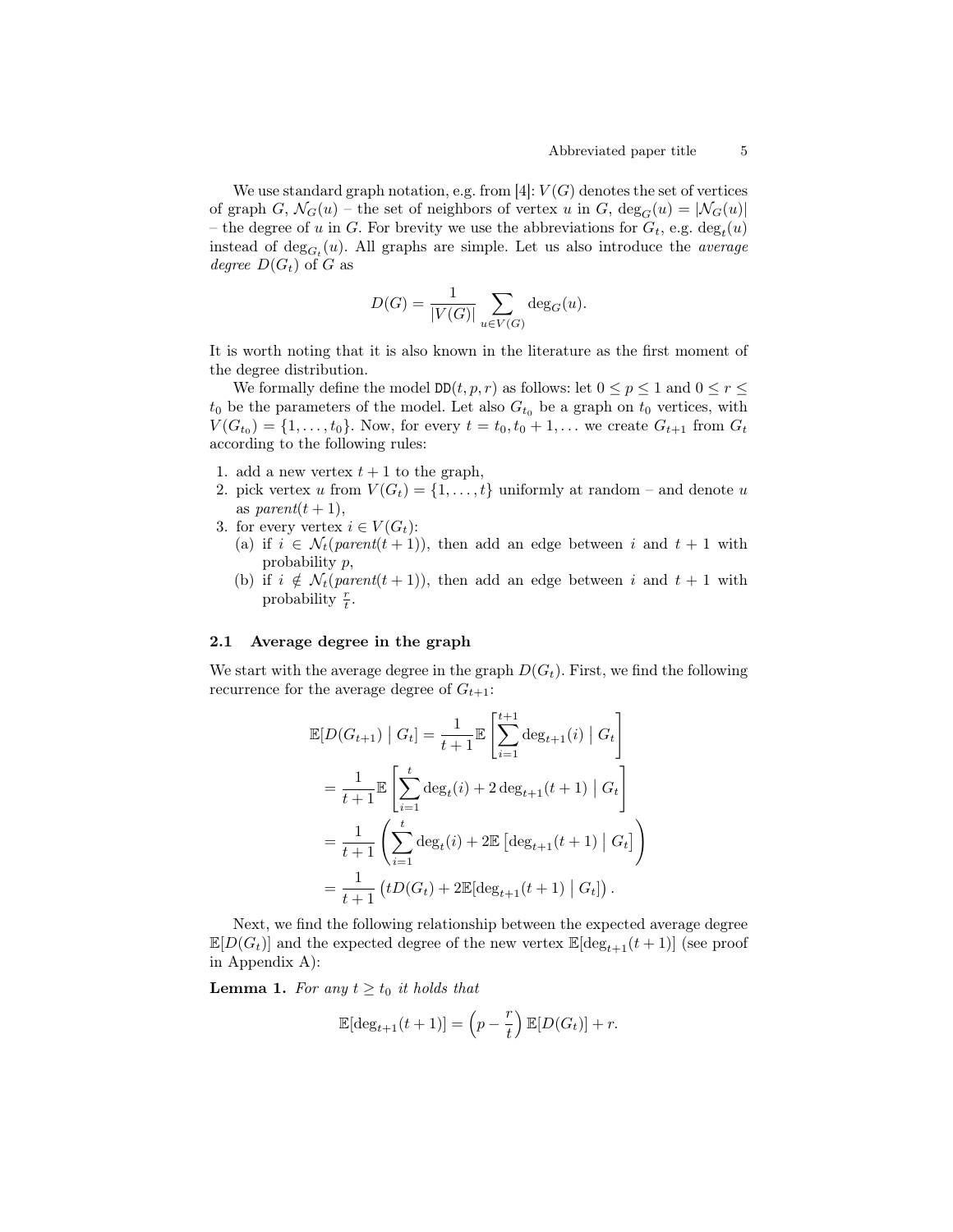We use standard graph notation, e.g. from [4]:  $V(G)$  denotes the set of vertices of graph G,  $\mathcal{N}_G(u)$  – the set of neighbors of vertex u in G,  $\deg_G(u) = |\mathcal{N}_G(u)|$ – the degree of u in G. For brevity we use the abbreviations for  $G_t$ , e.g.  $\deg_t(u)$ instead of  $deg_{G_t}(u)$ . All graphs are simple. Let us also introduce the *average* degree  $D(G_t)$  of G as

$$
D(G) = \frac{1}{|V(G)|} \sum_{u \in V(G)} \deg_G(u).
$$

It is worth noting that it is also known in the literature as the first moment of the degree distribution.

We formally define the model  $DD(t, p, r)$  as follows: let  $0 \le p \le 1$  and  $0 \le r \le$  $t_0$  be the parameters of the model. Let also  $G_{t_0}$  be a graph on  $t_0$  vertices, with  $V(G_{t_0}) = \{1, \ldots, t_0\}$ . Now, for every  $t = t_0, t_0 + 1, \ldots$  we create  $G_{t+1}$  from  $G_t$ according to the following rules:

- 1. add a new vertex  $t + 1$  to the graph,
- 2. pick vertex u from  $V(G_t) = \{1, \ldots, t\}$  uniformly at random and denote u as  $parent(t + 1)$ ,
- 3. for every vertex  $i \in V(G_t)$ :
	- (a) if  $i \in \mathcal{N}_t(parent(t+1))$ , then add an edge between i and  $t+1$  with probability p,
	- (b) if  $i \notin \mathcal{N}_t(parent(t + 1))$ , then add an edge between i and  $t + 1$  with probability  $\frac{r}{t}$ .

#### 2.1 Average degree in the graph

We start with the average degree in the graph  $D(G_t)$ . First, we find the following recurrence for the average degree of  $G_{t+1}$ :

$$
\mathbb{E}[D(G_{t+1}) | G_t] = \frac{1}{t+1} \mathbb{E}\left[\sum_{i=1}^{t+1} \deg_{t+1}(i) | G_t\right]
$$
  
= 
$$
\frac{1}{t+1} \mathbb{E}\left[\sum_{i=1}^t \deg_t(i) + 2 \deg_{t+1}(t+1) | G_t\right]
$$
  
= 
$$
\frac{1}{t+1} \left(\sum_{i=1}^t \deg_t(i) + 2 \mathbb{E}\left[\deg_{t+1}(t+1) | G_t\right]\right)
$$
  
= 
$$
\frac{1}{t+1} (tD(G_t) + 2 \mathbb{E}[\deg_{t+1}(t+1) | G_t]).
$$

Next, we find the following relationship between the expected average degree  $\mathbb{E}[D(G_t)]$  and the expected degree of the new vertex  $\mathbb{E}[\deg_{t+1}(t+1)]$  (see proof in Appendix A):

**Lemma 1.** For any  $t \geq t_0$  it holds that

$$
\mathbb{E}[\deg_{t+1}(t+1)] = \left(p - \frac{r}{t}\right)\mathbb{E}[D(G_t)] + r.
$$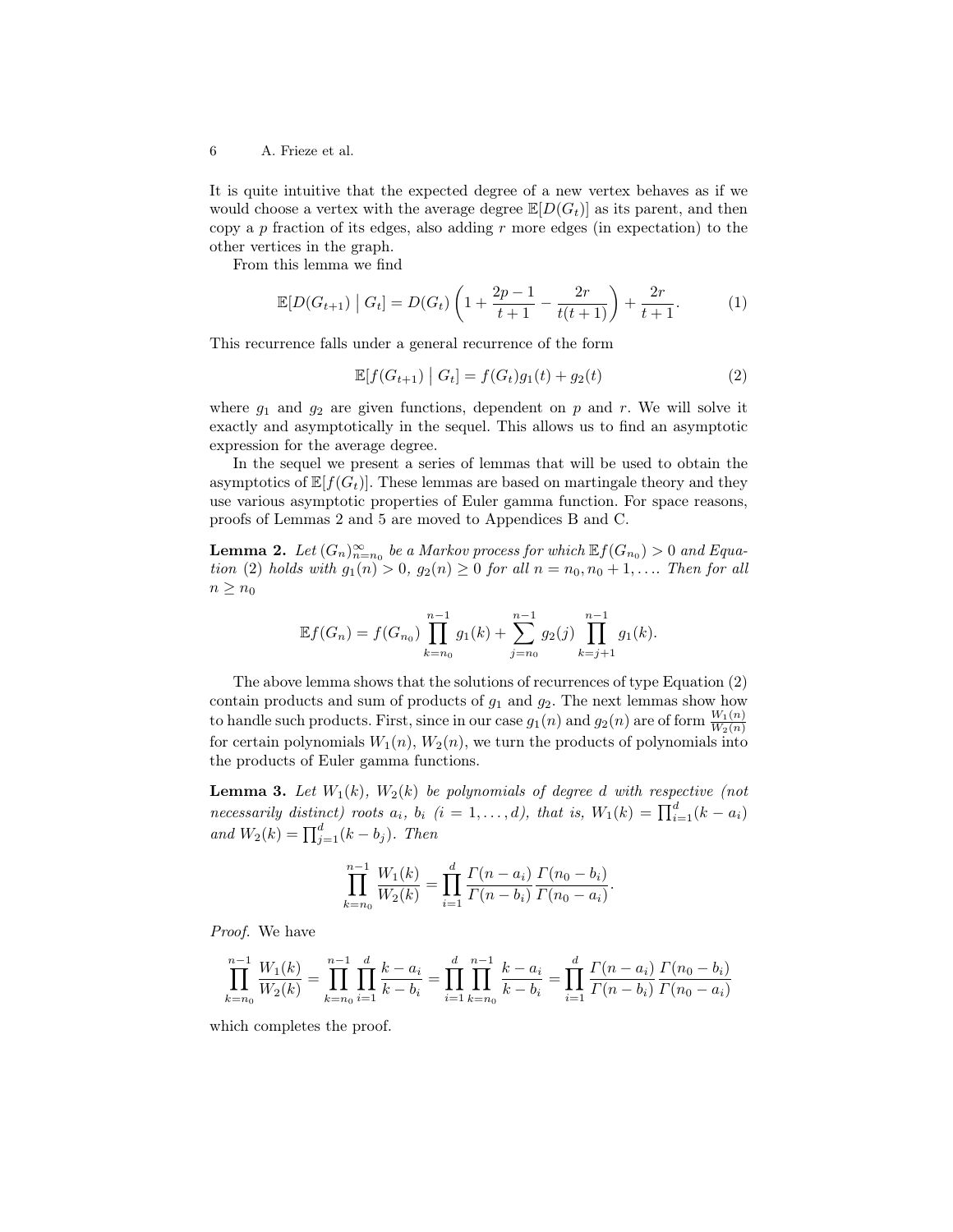It is quite intuitive that the expected degree of a new vertex behaves as if we would choose a vertex with the average degree  $\mathbb{E}[D(G_t)]$  as its parent, and then copy a  $p$  fraction of its edges, also adding  $r$  more edges (in expectation) to the other vertices in the graph.

From this lemma we find

$$
\mathbb{E}[D(G_{t+1}) | G_t] = D(G_t) \left( 1 + \frac{2p-1}{t+1} - \frac{2r}{t(t+1)} \right) + \frac{2r}{t+1}.
$$
 (1)

This recurrence falls under a general recurrence of the form

$$
\mathbb{E}[f(G_{t+1}) | G_t] = f(G_t)g_1(t) + g_2(t)
$$
\n(2)

where  $g_1$  and  $g_2$  are given functions, dependent on p and r. We will solve it exactly and asymptotically in the sequel. This allows us to find an asymptotic expression for the average degree.

In the sequel we present a series of lemmas that will be used to obtain the asymptotics of  $\mathbb{E}[f(G_t)]$ . These lemmas are based on martingale theory and they use various asymptotic properties of Euler gamma function. For space reasons, proofs of Lemmas 2 and 5 are moved to Appendices B and C.

**Lemma 2.** Let  $(G_n)_{n=n_0}^{\infty}$  be a Markov process for which  $\mathbb{E}f(G_{n_0}) > 0$  and Equation (2) holds with  $g_1(n) > 0$ ,  $g_2(n) \geq 0$  for all  $n = n_0, n_0 + 1, \ldots$  Then for all  $n\geq n_0$ 

$$
\mathbb{E}f(G_n) = f(G_{n_0}) \prod_{k=n_0}^{n-1} g_1(k) + \sum_{j=n_0}^{n-1} g_2(j) \prod_{k=j+1}^{n-1} g_1(k).
$$

The above lemma shows that the solutions of recurrences of type Equation (2) contain products and sum of products of  $g_1$  and  $g_2$ . The next lemmas show how to handle such products. First, since in our case  $g_1(n)$  and  $g_2(n)$  are of form  $\frac{W_1(n)}{W_2(n)}$ for certain polynomials  $W_1(n)$ ,  $W_2(n)$ , we turn the products of polynomials into the products of Euler gamma functions.

**Lemma 3.** Let  $W_1(k)$ ,  $W_2(k)$  be polynomials of degree d with respective (not necessarily distinct) roots  $a_i$ ,  $b_i$  ( $i = 1, ..., d$ ), that is,  $W_1(k) = \prod_{i=1}^d (k - a_i)$ and  $W_2(k) = \prod_{j=1}^d (k - b_j)$ . Then

$$
\prod_{k=n_0}^{n-1} \frac{W_1(k)}{W_2(k)} = \prod_{i=1}^d \frac{\Gamma(n-a_i)}{\Gamma(n-b_i)} \frac{\Gamma(n_0-b_i)}{\Gamma(n_0-a_i)}.
$$

Proof. We have

$$
\prod_{k=n_0}^{n-1} \frac{W_1(k)}{W_2(k)} = \prod_{k=n_0}^{n-1} \prod_{i=1}^d \frac{k-a_i}{k-b_i} = \prod_{i=1}^d \prod_{k=n_0}^{n-1} \frac{k-a_i}{k-b_i} = \prod_{i=1}^d \frac{\Gamma(n-a_i)}{\Gamma(n-b_i)} \frac{\Gamma(n_0-b_i)}{\Gamma(n_0-a_i)}
$$

which completes the proof.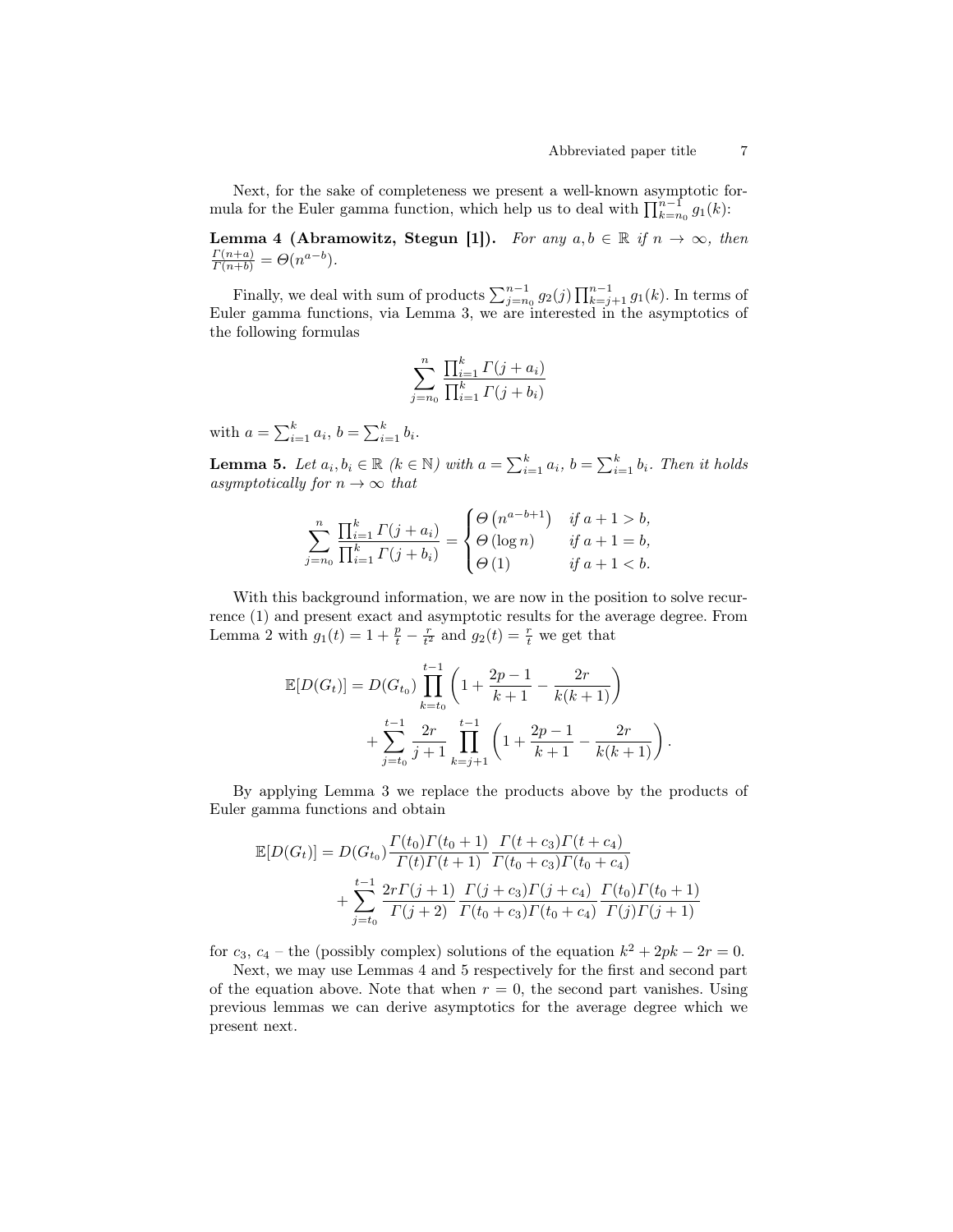.

Next, for the sake of completeness we present a well-known asymptotic formula for the Euler gamma function, which help us to deal with  $\prod_{k=n_0}^{n-1} g_1(k)$ :

Lemma 4 (Abramowitz, Stegun [1]). For any  $a, b \in \mathbb{R}$  if  $n \to \infty$ , then  $\frac{\Gamma(n+a)}{\Gamma(n+b)} = \Theta(n^{a-b}).$ 

Finally, we deal with sum of products  $\sum_{j=n_0}^{n-1} g_2(j) \prod_{k=j+1}^{n-1} g_1(k)$ . In terms of Euler gamma functions, via Lemma 3, we are interested in the asymptotics of the following formulas

$$
\sum_{j=n_0}^{n} \frac{\prod_{i=1}^{k} \Gamma(j + a_i)}{\prod_{i=1}^{k} \Gamma(j + b_i)}
$$

with  $a = \sum_{i=1}^{k} a_i$ ,  $b = \sum_{i=1}^{k} b_i$ .

**Lemma 5.** Let  $a_i, b_i \in \mathbb{R}$  ( $k \in \mathbb{N}$ ) with  $a = \sum_{i=1}^{k} a_i$ ,  $b = \sum_{i=1}^{k} b_i$ . Then it holds asymptotically for  $n \to \infty$  that

$$
\sum_{j=n_0}^{n} \frac{\prod_{i=1}^{k} \Gamma(j+a_i)}{\prod_{i=1}^{k} \Gamma(j+b_i)} = \begin{cases} \Theta(n^{a-b+1}) & \text{if } a+1 > b, \\ \Theta(\log n) & \text{if } a+1 = b, \\ \Theta(1) & \text{if } a+1 < b. \end{cases}
$$

With this background information, we are now in the position to solve recurrence (1) and present exact and asymptotic results for the average degree. From Lemma 2 with  $g_1(t) = 1 + \frac{p}{t} - \frac{r}{t^2}$  and  $g_2(t) = \frac{r}{t}$  we get that

$$
\mathbb{E}[D(G_t)] = D(G_{t_0}) \prod_{k=t_0}^{t-1} \left( 1 + \frac{2p-1}{k+1} - \frac{2r}{k(k+1)} \right) + \sum_{j=t_0}^{t-1} \frac{2r}{j+1} \prod_{k=j+1}^{t-1} \left( 1 + \frac{2p-1}{k+1} - \frac{2r}{k(k+1)} \right)
$$

By applying Lemma 3 we replace the products above by the products of Euler gamma functions and obtain

$$
\mathbb{E}[D(G_t)] = D(G_{t_0}) \frac{\Gamma(t_0)\Gamma(t_0+1)}{\Gamma(t)\Gamma(t+1)} \frac{\Gamma(t+c_3)\Gamma(t+c_4)}{\Gamma(t_0+c_3)\Gamma(t_0+c_4)} + \sum_{j=t_0}^{t-1} \frac{2r\Gamma(j+1)}{\Gamma(j+2)} \frac{\Gamma(j+c_3)\Gamma(j+c_4)}{\Gamma(t_0+c_3)\Gamma(t_0+c_4)} \frac{\Gamma(t_0)\Gamma(t_0+1)}{\Gamma(j)\Gamma(j+1)}
$$

for  $c_3$ ,  $c_4$  – the (possibly complex) solutions of the equation  $k^2 + 2pk - 2r = 0$ .

Next, we may use Lemmas 4 and 5 respectively for the first and second part of the equation above. Note that when  $r = 0$ , the second part vanishes. Using previous lemmas we can derive asymptotics for the average degree which we present next.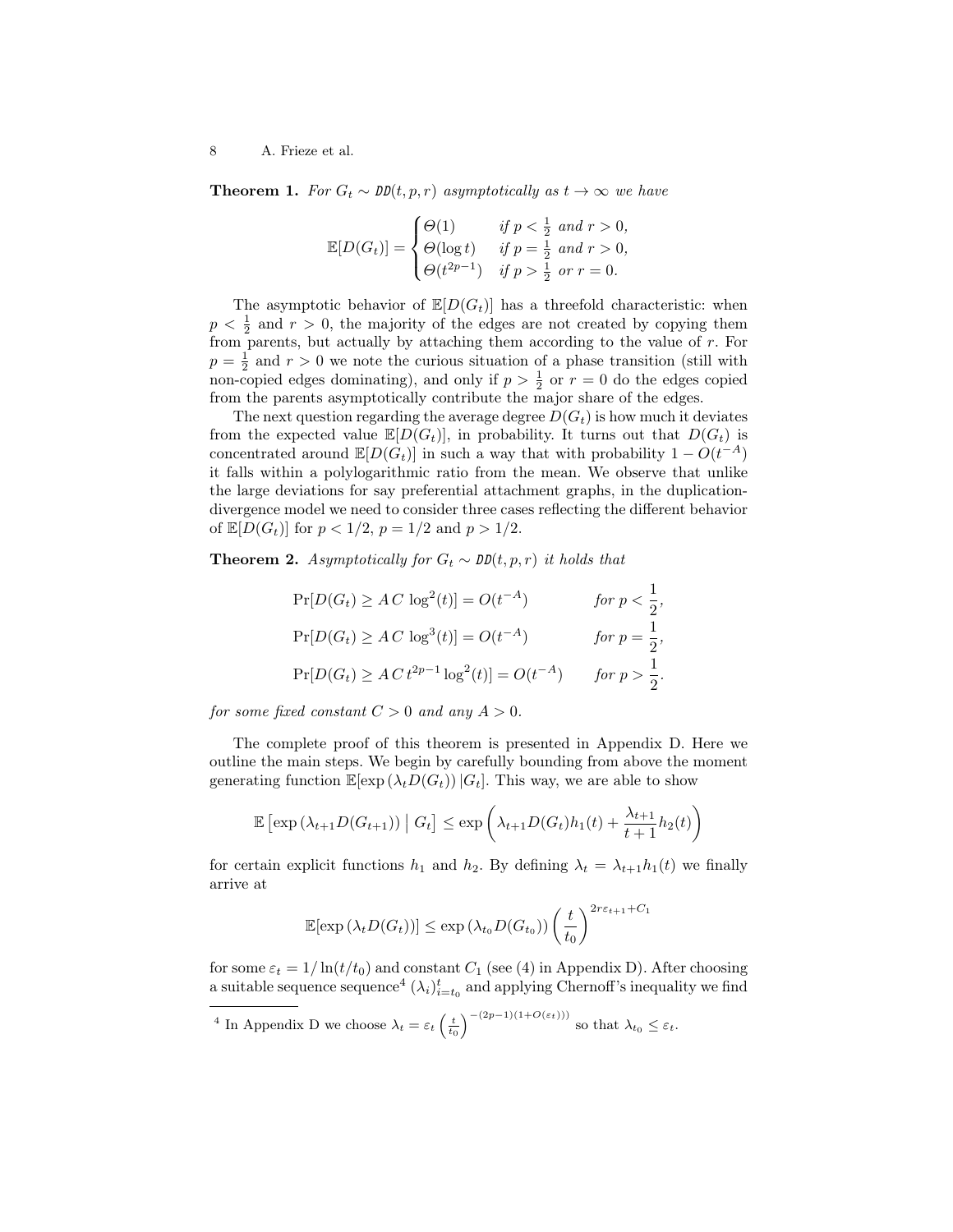**Theorem 1.** For  $G_t \sim \text{DD}(t, p, r)$  asymptotically as  $t \to \infty$  we have

$$
\mathbb{E}[D(G_t)] = \begin{cases} \Theta(1) & \text{if } p < \frac{1}{2} \text{ and } r > 0, \\ \Theta(\log t) & \text{if } p = \frac{1}{2} \text{ and } r > 0, \\ \Theta(t^{2p-1}) & \text{if } p > \frac{1}{2} \text{ or } r = 0. \end{cases}
$$

The asymptotic behavior of  $\mathbb{E}[D(G_t)]$  has a threefold characteristic: when  $p < \frac{1}{2}$  and  $r > 0$ , the majority of the edges are not created by copying them from parents, but actually by attaching them according to the value of r. For  $p = \frac{1}{2}$  and  $r > 0$  we note the curious situation of a phase transition (still with non-copied edges dominating), and only if  $p > \frac{1}{2}$  or  $r = 0$  do the edges copied from the parents asymptotically contribute the major share of the edges.

The next question regarding the average degree  $D(G_t)$  is how much it deviates from the expected value  $\mathbb{E}[D(G_t)],$  in probability. It turns out that  $D(G_t)$  is concentrated around  $\mathbb{E}[D(\hat{G}_t)]$  in such a way that with probability  $1 - O(t^{-A})$ it falls within a polylogarithmic ratio from the mean. We observe that unlike the large deviations for say preferential attachment graphs, in the duplicationdivergence model we need to consider three cases reflecting the different behavior of  $\mathbb{E}[D(G_t)]$  for  $p < 1/2$ ,  $p = 1/2$  and  $p > 1/2$ .

**Theorem 2.** Asymptotically for  $G_t \sim \text{DD}(t, p, r)$  it holds that

$$
\Pr[D(G_t) \ge AC \log^2(t)] = O(t^{-A}) \qquad \text{for } p < \frac{1}{2},
$$
\n
$$
\Pr[D(G_t) \ge AC \log^3(t)] = O(t^{-A}) \qquad \text{for } p = \frac{1}{2},
$$
\n
$$
\Pr[D(G_t) \ge AC \ell^{2p-1} \log^2(t)] = O(t^{-A}) \qquad \text{for } p > \frac{1}{2}.
$$

for some fixed constant  $C > 0$  and any  $A > 0$ .

The complete proof of this theorem is presented in Appendix D. Here we outline the main steps. We begin by carefully bounding from above the moment generating function  $\mathbb{E}[\exp(\lambda_t D(G_t))]G_t$ . This way, we are able to show

$$
\mathbb{E}\left[\exp\left(\lambda_{t+1}D(G_{t+1})\right) \mid G_t\right] \leq \exp\left(\lambda_{t+1}D(G_t)h_1(t) + \frac{\lambda_{t+1}}{t+1}h_2(t)\right)
$$

for certain explicit functions  $h_1$  and  $h_2$ . By defining  $\lambda_t = \lambda_{t+1}h_1(t)$  we finally arrive at

$$
\mathbb{E}[\exp(\lambda_t D(G_t))] \le \exp(\lambda_{t_0} D(G_{t_0})) \left(\frac{t}{t_0}\right)^{2r\epsilon_{t+1} + C_1}
$$

for some  $\varepsilon_t = 1/\ln(t/t_0)$  and constant  $C_1$  (see (4) in Appendix D). After choosing a suitable sequence sequence<sup>4</sup>  $(\lambda_i)_{i=t_0}^t$  and applying Chernoff's inequality we find

<sup>&</sup>lt;sup>4</sup> In Appendix D we choose  $\lambda_t = \varepsilon_t \left(\frac{t}{t_0}\right)^{-(2p-1)(1+O(\varepsilon_t)))}$  so that  $\lambda_{t_0} \leq \varepsilon_t$ .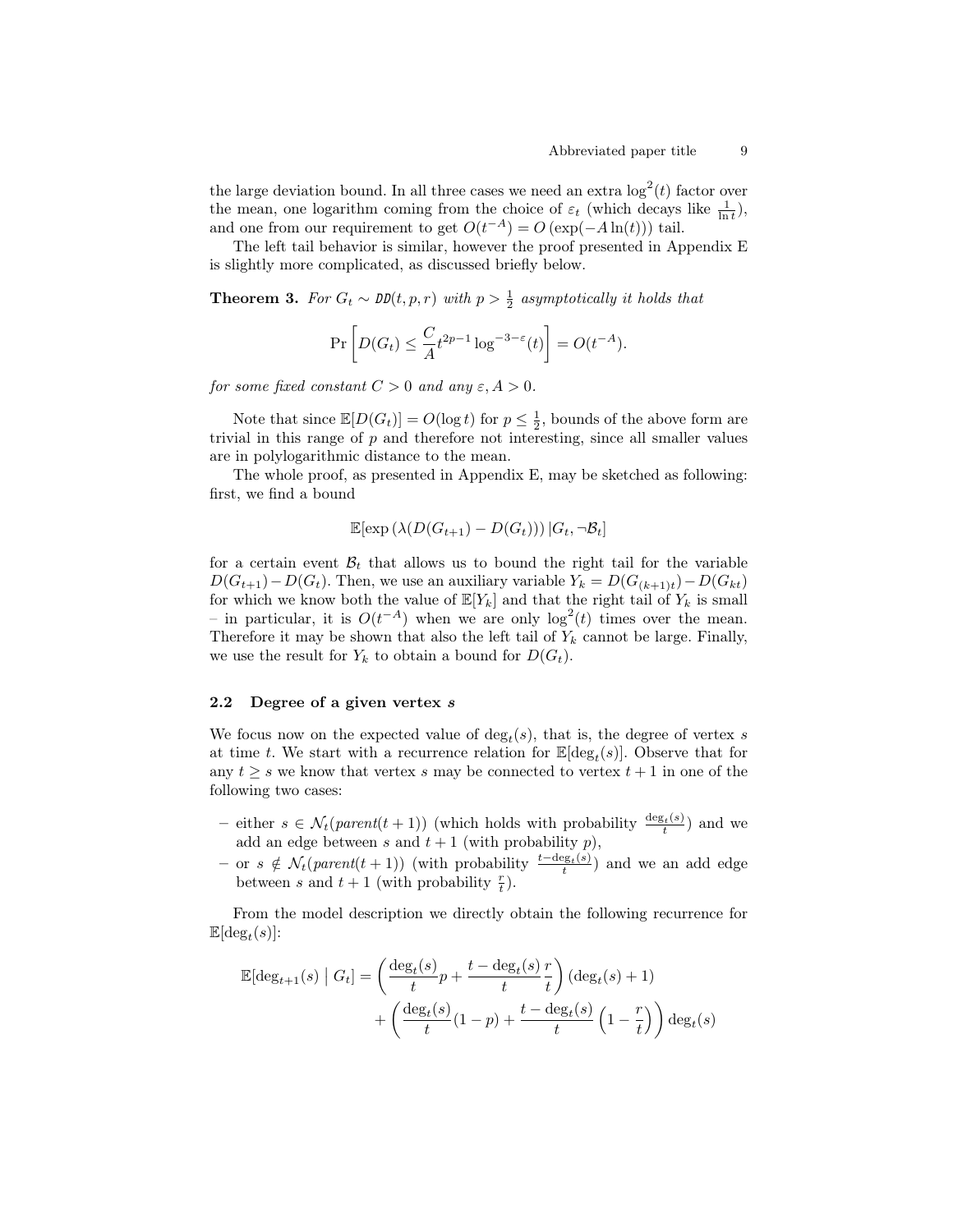the large deviation bound. In all three cases we need an extra  $\log^2(t)$  factor over the mean, one logarithm coming from the choice of  $\varepsilon_t$  (which decays like  $\frac{1}{\ln t}$ ), and one from our requirement to get  $O(t^{-A}) = O(\exp(-A \ln(t)))$  tail.

The left tail behavior is similar, however the proof presented in Appendix E is slightly more complicated, as discussed briefly below.

**Theorem 3.** For  $G_t \sim \text{DD}(t, p, r)$  with  $p > \frac{1}{2}$  asymptotically it holds that

$$
\Pr\left[D(G_t) \le \frac{C}{A}t^{2p-1}\log^{-3-\varepsilon}(t)\right] = O(t^{-A}).
$$

for some fixed constant  $C > 0$  and any  $\varepsilon, A > 0$ .

Note that since  $\mathbb{E}[D(G_t)] = O(\log t)$  for  $p \leq \frac{1}{2}$ , bounds of the above form are trivial in this range of p and therefore not interesting, since all smaller values are in polylogarithmic distance to the mean.

The whole proof, as presented in Appendix E, may be sketched as following: first, we find a bound

$$
\mathbb{E}[\exp\left(\lambda(D(G_{t+1})-D(G_t))\right)|G_t, \neg B_t]
$$

for a certain event  $B_t$  that allows us to bound the right tail for the variable  $D(G_{t+1})-D(G_t)$ . Then, we use an auxiliary variable  $Y_k = D(G_{(k+1)t})-D(G_{kt})$ for which we know both the value of  $\mathbb{E}[Y_k]$  and that the right tail of  $Y_k$  is small – in particular, it is  $O(t^{-A})$  when we are only  $\log^2(t)$  times over the mean. Therefore it may be shown that also the left tail of  $Y_k$  cannot be large. Finally, we use the result for  $Y_k$  to obtain a bound for  $D(G_t)$ .

#### 2.2 Degree of a given vertex s

We focus now on the expected value of  $\deg_t(s)$ , that is, the degree of vertex s at time t. We start with a recurrence relation for  $\mathbb{E}[\deg_t(s)]$ . Observe that for any  $t \geq s$  we know that vertex s may be connected to vertex  $t + 1$  in one of the following two cases:

- either *s* ∈  $\mathcal{N}_t$ (parent(t+1)) (which holds with probability  $\frac{\deg_t(s)}{t}$  $\frac{f_t(s)}{t}$  and we add an edge between s and  $t + 1$  (with probability  $p$ ),
- or s ∉  $\mathcal{N}_t$ (parent(t + 1)) (with probability  $\frac{t-\deg_t(s)}{t}$  $\frac{\log_t(s)}{t}$  and we an add edge between s and  $t+1$  (with probability  $\frac{r}{t}$ ).

From the model description we directly obtain the following recurrence for  $\mathbb{E}[\deg_t(s)]$ :

$$
\mathbb{E}[\deg_{t+1}(s) | G_t] = \left(\frac{\deg_t(s)}{t}p + \frac{t - \deg_t(s)}{t}\frac{r}{t}\right)(\deg_t(s) + 1) + \left(\frac{\deg_t(s)}{t}(1 - p) + \frac{t - \deg_t(s)}{t}\left(1 - \frac{r}{t}\right)\right)\deg_t(s)
$$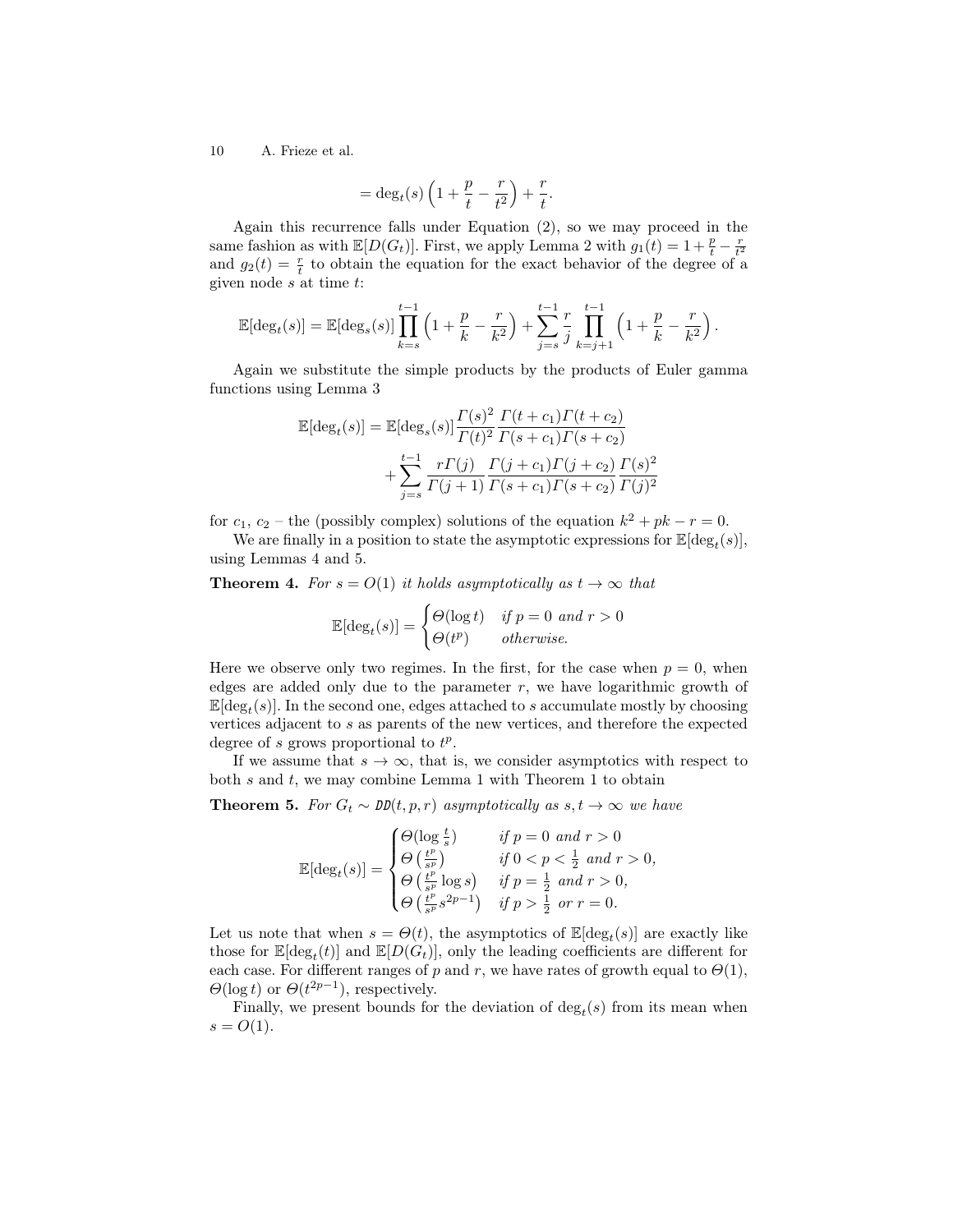$$
= \deg_t(s) \left( 1 + \frac{p}{t} - \frac{r}{t^2} \right) + \frac{r}{t}.
$$

Again this recurrence falls under Equation (2), so we may proceed in the same fashion as with  $\mathbb{E}[D(G_t)]$ . First, we apply Lemma 2 with  $g_1(t) = 1 + \frac{p}{t} - \frac{r}{t^2}$ and  $g_2(t) = \frac{r}{t}$  to obtain the equation for the exact behavior of the degree of a given node s at time t:

$$
\mathbb{E}[\deg_t(s)] = \mathbb{E}[\deg_s(s)] \prod_{k=s}^{t-1} \left(1 + \frac{p}{k} - \frac{r}{k^2}\right) + \sum_{j=s}^{t-1} \frac{r}{j} \prod_{k=j+1}^{t-1} \left(1 + \frac{p}{k} - \frac{r}{k^2}\right).
$$

Again we substitute the simple products by the products of Euler gamma functions using Lemma 3

$$
\mathbb{E}[\deg_t(s)] = \mathbb{E}[\deg_s(s)] \frac{\Gamma(s)^2}{\Gamma(t)^2} \frac{\Gamma(t+c_1)\Gamma(t+c_2)}{\Gamma(s+c_1)\Gamma(s+c_2)} \n+ \sum_{j=s}^{t-1} \frac{r\Gamma(j)}{\Gamma(j+1)} \frac{\Gamma(j+c_1)\Gamma(j+c_2)}{\Gamma(s+c_1)\Gamma(s+c_2)} \frac{\Gamma(s)^2}{\Gamma(j)^2}
$$

for  $c_1, c_2$  – the (possibly complex) solutions of the equation  $k^2 + pk - r = 0$ .

We are finally in a position to state the asymptotic expressions for  $\mathbb{E}[\deg_t(s)],$ using Lemmas 4 and 5.

**Theorem 4.** For  $s = O(1)$  it holds asymptotically as  $t \to \infty$  that

$$
\mathbb{E}[\deg_t(s)] = \begin{cases} \Theta(\log t) & \text{if } p = 0 \text{ and } r > 0 \\ \Theta(t^p) & \text{otherwise.} \end{cases}
$$

Here we observe only two regimes. In the first, for the case when  $p = 0$ , when edges are added only due to the parameter  $r$ , we have logarithmic growth of  $\mathbb{E}[\deg_t(s)]$ . In the second one, edges attached to s accumulate mostly by choosing vertices adjacent to s as parents of the new vertices, and therefore the expected degree of s grows proportional to  $t^p$ .

If we assume that  $s \to \infty$ , that is, we consider asymptotics with respect to both  $s$  and  $t$ , we may combine Lemma 1 with Theorem 1 to obtain

**Theorem 5.** For  $G_t \sim \text{DD}(t, p, r)$  asymptotically as  $s, t \to \infty$  we have

$$
\mathbb{E}[\deg_t(s)] = \begin{cases} \Theta(\log \frac{t}{s}) & \text{if } p = 0 \text{ and } r > 0 \\ \Theta(\frac{t^p}{s^p}) & \text{if } 0 < p < \frac{1}{2} \text{ and } r > 0, \\ \Theta(\frac{t^p}{s^p} \log s) & \text{if } p = \frac{1}{2} \text{ and } r > 0, \\ \Theta(\frac{t^p}{s^p} s^{2p-1}) & \text{if } p > \frac{1}{2} \text{ or } r = 0. \end{cases}
$$

Let us note that when  $s = \Theta(t)$ , the asymptotics of  $\mathbb{E}[\deg_t(s)]$  are exactly like those for  $\mathbb{E}[\deg_t(t)]$  and  $\mathbb{E}[D(G_t)]$ , only the leading coefficients are different for each case. For different ranges of p and r, we have rates of growth equal to  $\Theta(1)$ ,  $\Theta(\log t)$  or  $\Theta(t^{2p-1})$ , respectively.

Finally, we present bounds for the deviation of  $\deg_t(s)$  from its mean when  $s = O(1)$ .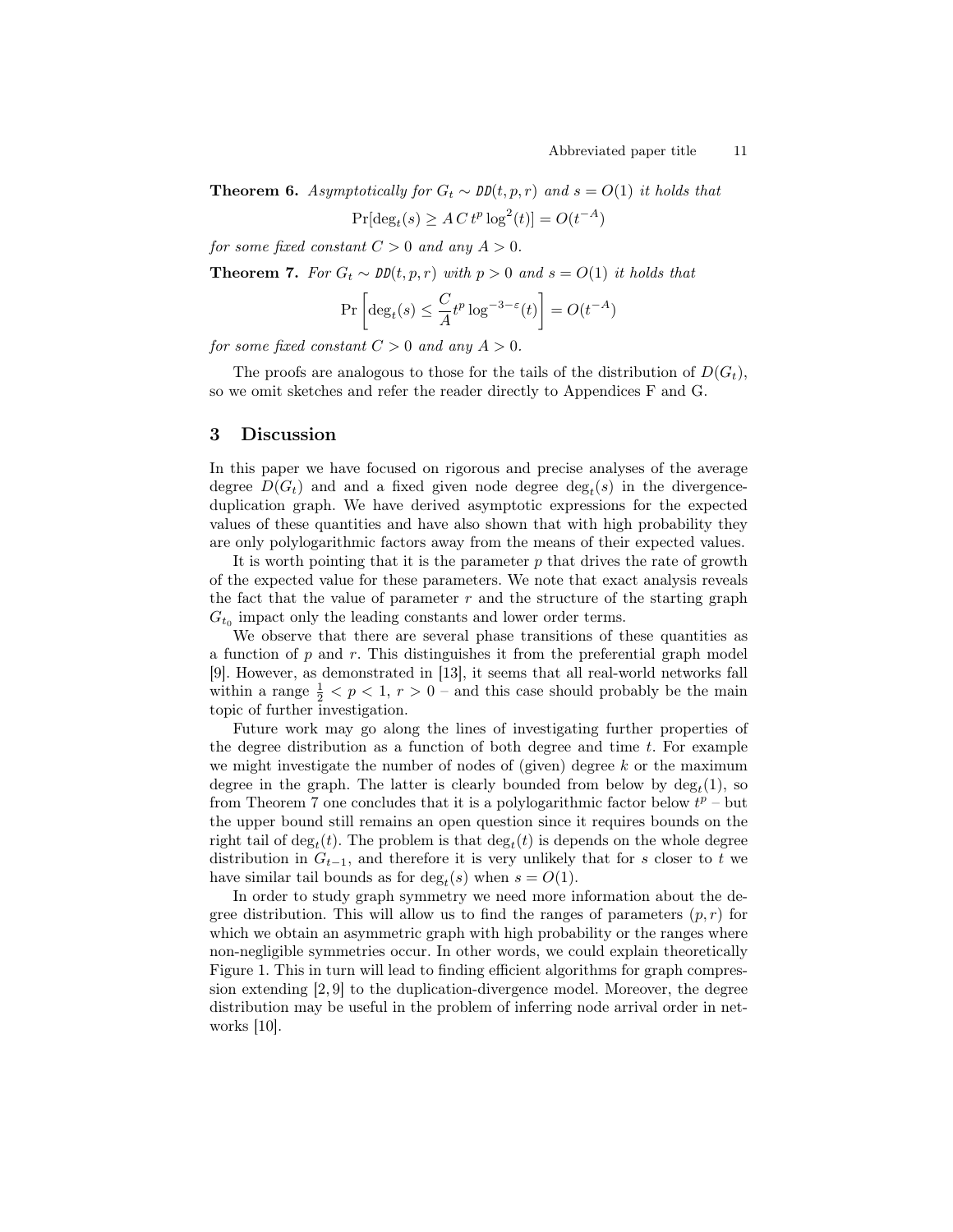**Theorem 6.** Asymptotically for  $G_t \sim \text{DD}(t, p, r)$  and  $s = O(1)$  it holds that

$$
\Pr[\deg_t(s) \ge A C t^p \log^2(t)] = O(t^{-A})
$$

for some fixed constant  $C > 0$  and any  $A > 0$ .

**Theorem 7.** For  $G_t \sim \text{DD}(t, p, r)$  with  $p > 0$  and  $s = O(1)$  it holds that

$$
\Pr\left[\deg_t(s) \le \frac{C}{A} t^p \log^{-3-\varepsilon}(t)\right] = O(t^{-A})
$$

for some fixed constant  $C > 0$  and any  $A > 0$ .

The proofs are analogous to those for the tails of the distribution of  $D(G_t)$ , so we omit sketches and refer the reader directly to Appendices F and G.

#### 3 Discussion

In this paper we have focused on rigorous and precise analyses of the average degree  $D(G_t)$  and and a fixed given node degree  $\deg_t(s)$  in the divergenceduplication graph. We have derived asymptotic expressions for the expected values of these quantities and have also shown that with high probability they are only polylogarithmic factors away from the means of their expected values.

It is worth pointing that it is the parameter  $p$  that drives the rate of growth of the expected value for these parameters. We note that exact analysis reveals the fact that the value of parameter  $r$  and the structure of the starting graph  $G_{t_0}$  impact only the leading constants and lower order terms.

We observe that there are several phase transitions of these quantities as a function of  $p$  and  $r$ . This distinguishes it from the preferential graph model [9]. However, as demonstrated in [13], it seems that all real-world networks fall within a range  $\frac{1}{2}$  < p < 1, r > 0 – and this case should probably be the main topic of further investigation.

Future work may go along the lines of investigating further properties of the degree distribution as a function of both degree and time  $t$ . For example we might investigate the number of nodes of (given) degree  $k$  or the maximum degree in the graph. The latter is clearly bounded from below by  $\deg_t(1)$ , so from Theorem 7 one concludes that it is a polylogarithmic factor below  $t^p$  – but the upper bound still remains an open question since it requires bounds on the right tail of  $\deg_t(t)$ . The problem is that  $\deg_t(t)$  is depends on the whole degree distribution in  $G_{t-1}$ , and therefore it is very unlikely that for s closer to t we have similar tail bounds as for  $\deg_t(s)$  when  $s = O(1)$ .

In order to study graph symmetry we need more information about the degree distribution. This will allow us to find the ranges of parameters  $(p, r)$  for which we obtain an asymmetric graph with high probability or the ranges where non-negligible symmetries occur. In other words, we could explain theoretically Figure 1. This in turn will lead to finding efficient algorithms for graph compression extending [2, 9] to the duplication-divergence model. Moreover, the degree distribution may be useful in the problem of inferring node arrival order in networks [10].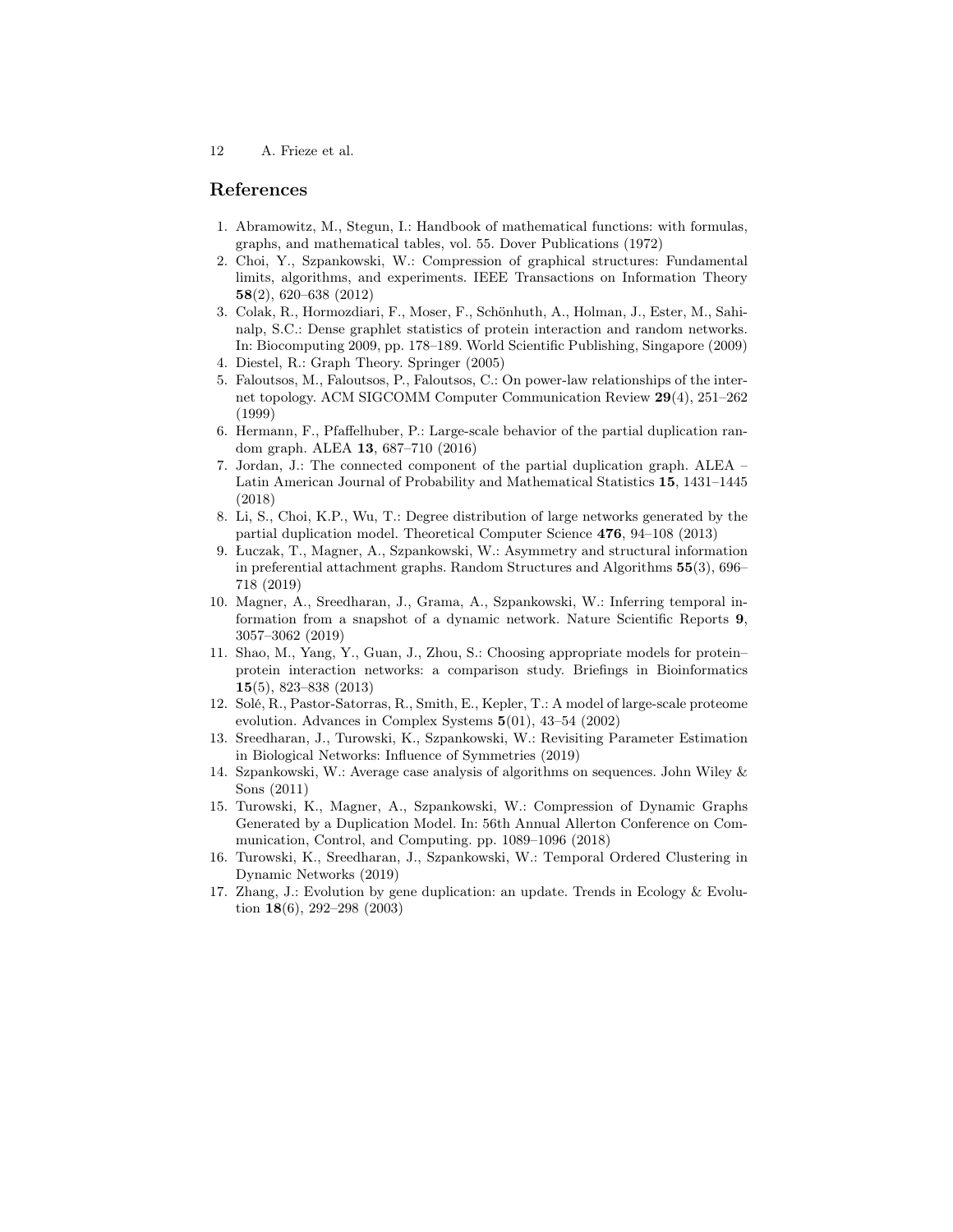#### References

- 1. Abramowitz, M., Stegun, I.: Handbook of mathematical functions: with formulas, graphs, and mathematical tables, vol. 55. Dover Publications (1972)
- 2. Choi, Y., Szpankowski, W.: Compression of graphical structures: Fundamental limits, algorithms, and experiments. IEEE Transactions on Information Theory 58(2), 620–638 (2012)
- 3. Colak, R., Hormozdiari, F., Moser, F., Schönhuth, A., Holman, J., Ester, M., Sahinalp, S.C.: Dense graphlet statistics of protein interaction and random networks. In: Biocomputing 2009, pp. 178–189. World Scientific Publishing, Singapore (2009)
- 4. Diestel, R.: Graph Theory. Springer (2005)
- 5. Faloutsos, M., Faloutsos, P., Faloutsos, C.: On power-law relationships of the internet topology. ACM SIGCOMM Computer Communication Review 29(4), 251–262 (1999)
- 6. Hermann, F., Pfaffelhuber, P.: Large-scale behavior of the partial duplication random graph. ALEA 13, 687–710 (2016)
- 7. Jordan, J.: The connected component of the partial duplication graph. ALEA Latin American Journal of Probability and Mathematical Statistics 15, 1431–1445 (2018)
- 8. Li, S., Choi, K.P., Wu, T.: Degree distribution of large networks generated by the partial duplication model. Theoretical Computer Science 476, 94–108 (2013)
- 9. Łuczak, T., Magner, A., Szpankowski, W.: Asymmetry and structural information in preferential attachment graphs. Random Structures and Algorithms 55(3), 696– 718 (2019)
- 10. Magner, A., Sreedharan, J., Grama, A., Szpankowski, W.: Inferring temporal information from a snapshot of a dynamic network. Nature Scientific Reports 9, 3057–3062 (2019)
- 11. Shao, M., Yang, Y., Guan, J., Zhou, S.: Choosing appropriate models for protein– protein interaction networks: a comparison study. Briefings in Bioinformatics 15(5), 823–838 (2013)
- 12. Solé, R., Pastor-Satorras, R., Smith, E., Kepler, T.: A model of large-scale proteome evolution. Advances in Complex Systems 5(01), 43–54 (2002)
- 13. Sreedharan, J., Turowski, K., Szpankowski, W.: Revisiting Parameter Estimation in Biological Networks: Influence of Symmetries (2019)
- 14. Szpankowski, W.: Average case analysis of algorithms on sequences. John Wiley & Sons (2011)
- 15. Turowski, K., Magner, A., Szpankowski, W.: Compression of Dynamic Graphs Generated by a Duplication Model. In: 56th Annual Allerton Conference on Communication, Control, and Computing. pp. 1089–1096 (2018)
- 16. Turowski, K., Sreedharan, J., Szpankowski, W.: Temporal Ordered Clustering in Dynamic Networks (2019)
- 17. Zhang, J.: Evolution by gene duplication: an update. Trends in Ecology & Evolution 18(6), 292–298 (2003)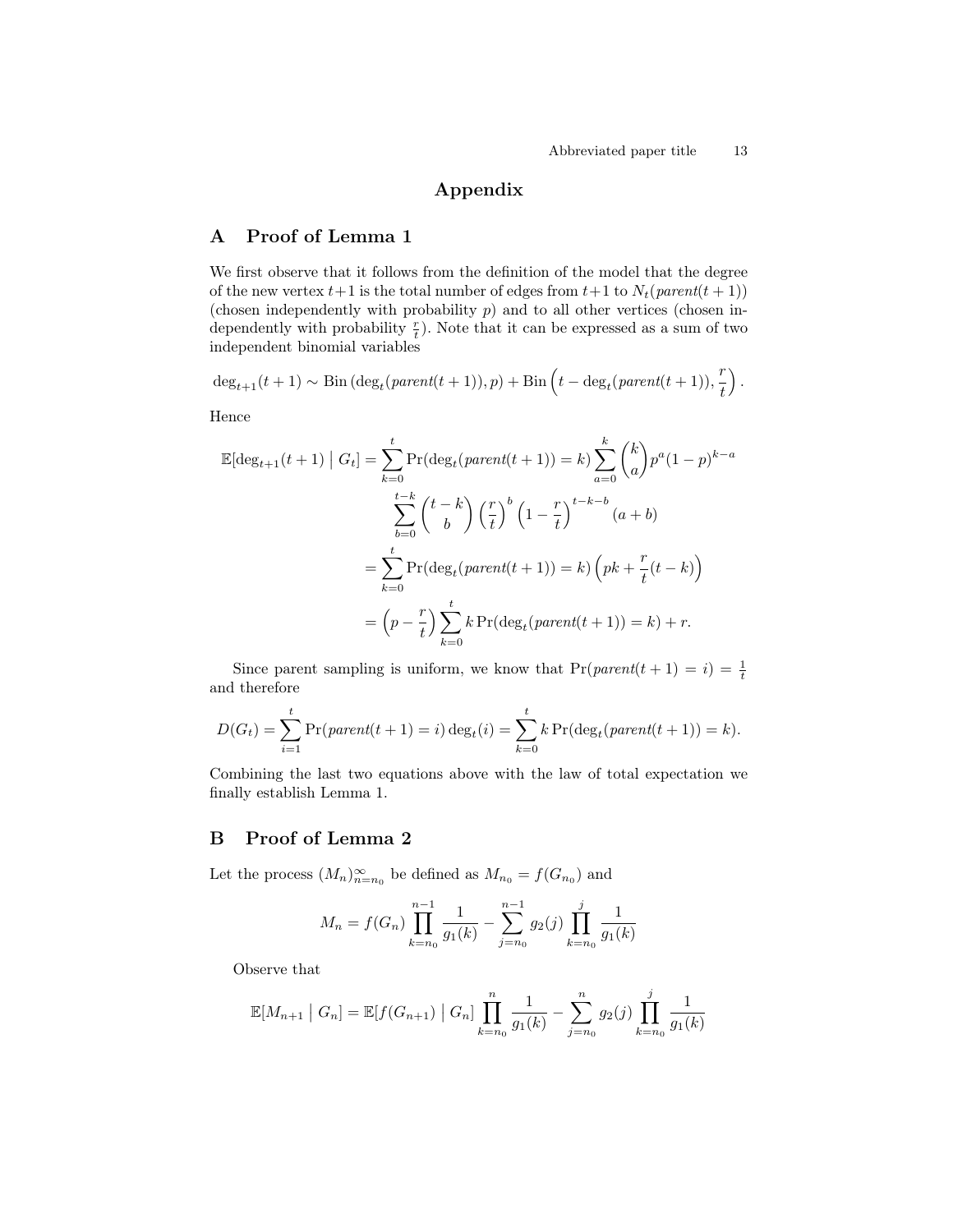# Appendix

### A Proof of Lemma 1

We first observe that it follows from the definition of the model that the degree of the new vertex  $t+1$  is the total number of edges from  $t+1$  to  $N_t(parent(t + 1))$ (chosen independently with probability  $p$ ) and to all other vertices (chosen independently with probability  $\frac{r}{t}$ ). Note that it can be expressed as a sum of two independent binomial variables

$$
\deg_{t+1}(t+1) \sim \text{Bin}(\deg_t(\text{parent}(t+1)), p) + \text{Bin}\left(t - \deg_t(\text{parent}(t+1)), \frac{r}{t}\right).
$$

Hence

$$
\mathbb{E}[\deg_{t+1}(t+1) | G_t] = \sum_{k=0}^t \Pr(\deg_t(parent(t+1)) = k) \sum_{a=0}^k {k \choose a} p^a (1-p)^{k-a}
$$

$$
\sum_{b=0}^{t-k} {t-k \choose b} \left(\frac{r}{t}\right)^b \left(1 - \frac{r}{t}\right)^{t-k-b} (a+b)
$$

$$
= \sum_{k=0}^t \Pr(\deg_t(parent(t+1)) = k) \left(pk + \frac{r}{t}(t-k)\right)
$$

$$
= \left(p - \frac{r}{t}\right) \sum_{k=0}^t k \Pr(\deg_t(parent(t+1)) = k) + r.
$$

Since parent sampling is uniform, we know that  $Pr(parent(t + 1) = i) = \frac{1}{t}$ and therefore

$$
D(G_t) = \sum_{i=1}^{t} \Pr(\text{parent}(t+1) = i) \deg_t(i) = \sum_{k=0}^{t} k \Pr(\deg_t(\text{parent}(t+1)) = k).
$$

Combining the last two equations above with the law of total expectation we finally establish Lemma 1.

### B Proof of Lemma 2

Let the process  $(M_n)_{n=n_0}^{\infty}$  be defined as  $M_{n_0} = f(G_{n_0})$  and

$$
M_n = f(G_n) \prod_{k=n_0}^{n-1} \frac{1}{g_1(k)} - \sum_{j=n_0}^{n-1} g_2(j) \prod_{k=n_0}^{j} \frac{1}{g_1(k)}
$$

Observe that

$$
\mathbb{E}[M_{n+1} | G_n] = \mathbb{E}[f(G_{n+1}) | G_n] \prod_{k=n_0}^{n} \frac{1}{g_1(k)} - \sum_{j=n_0}^{n} g_2(j) \prod_{k=n_0}^{j} \frac{1}{g_1(k)}
$$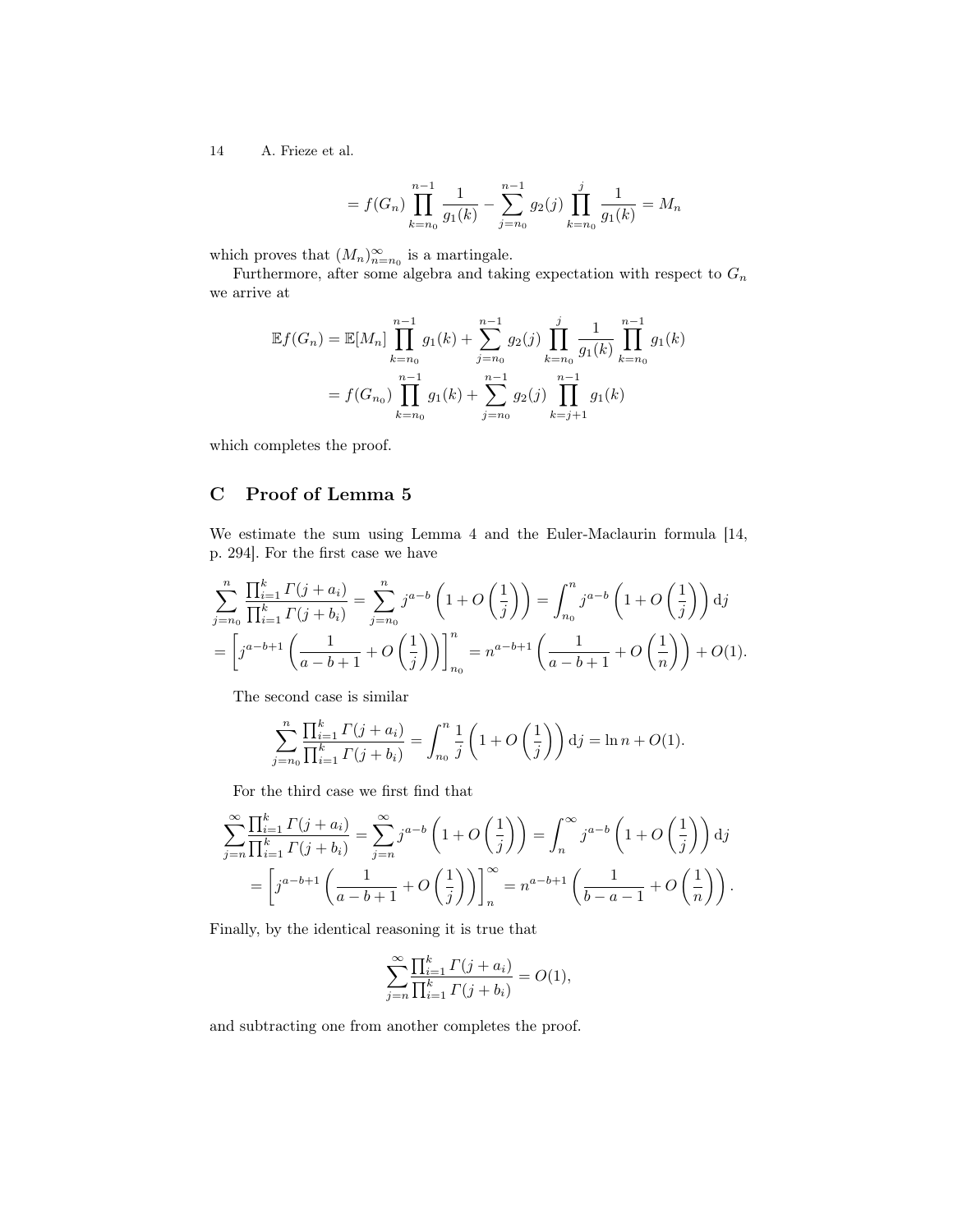$$
= f(G_n) \prod_{k=n_0}^{n-1} \frac{1}{g_1(k)} - \sum_{j=n_0}^{n-1} g_2(j) \prod_{k=n_0}^{j} \frac{1}{g_1(k)} = M_n
$$

which proves that  $(M_n)_{n=n_0}^{\infty}$  is a martingale.

Furthermore, after some algebra and taking expectation with respect to  $G_n$ we arrive at

$$
\mathbb{E}f(G_n) = \mathbb{E}[M_n] \prod_{k=n_0}^{n-1} g_1(k) + \sum_{j=n_0}^{n-1} g_2(j) \prod_{k=n_0}^{j} \frac{1}{g_1(k)} \prod_{k=n_0}^{n-1} g_1(k)
$$
  
=  $f(G_{n_0}) \prod_{k=n_0}^{n-1} g_1(k) + \sum_{j=n_0}^{n-1} g_2(j) \prod_{k=j+1}^{n-1} g_1(k)$ 

which completes the proof.

## C Proof of Lemma 5

We estimate the sum using Lemma 4 and the Euler-Maclaurin formula [14, p. 294]. For the first case we have

$$
\sum_{j=n_0}^{n} \frac{\prod_{i=1}^{k} \Gamma(j+a_i)}{\prod_{i=1}^{k} \Gamma(j+b_i)} = \sum_{j=n_0}^{n} j^{a-b} \left(1+O\left(\frac{1}{j}\right)\right) = \int_{n_0}^{n} j^{a-b} \left(1+O\left(\frac{1}{j}\right)\right) dj
$$
  
=  $\left[j^{a-b+1} \left(\frac{1}{a-b+1}+O\left(\frac{1}{j}\right)\right)\right]_{n_0}^{n} = n^{a-b+1} \left(\frac{1}{a-b+1}+O\left(\frac{1}{n}\right)\right) + O(1).$ 

The second case is similar

$$
\sum_{j=n_0}^{n} \frac{\prod_{i=1}^{k} \Gamma(j+a_i)}{\prod_{i=1}^{k} \Gamma(j+b_i)} = \int_{n_0}^{n} \frac{1}{j} \left(1 + O\left(\frac{1}{j}\right)\right) \mathrm{d}j = \ln n + O(1).
$$

For the third case we first find that

$$
\sum_{j=n}^{\infty} \frac{\prod_{i=1}^{k} \Gamma(j+a_i)}{\prod_{i=1}^{k} \Gamma(j+b_i)} = \sum_{j=n}^{\infty} j^{a-b} \left(1+O\left(\frac{1}{j}\right)\right) = \int_{n}^{\infty} j^{a-b} \left(1+O\left(\frac{1}{j}\right)\right) dj
$$

$$
= \left[j^{a-b+1} \left(\frac{1}{a-b+1} + O\left(\frac{1}{j}\right)\right)\right]_{n}^{\infty} = n^{a-b+1} \left(\frac{1}{b-a-1} + O\left(\frac{1}{n}\right)\right).
$$

Finally, by the identical reasoning it is true that

$$
\sum_{j=n}^{\infty} \frac{\prod_{i=1}^{k} \Gamma(j + a_i)}{\prod_{i=1}^{k} \Gamma(j + b_i)} = O(1),
$$

and subtracting one from another completes the proof.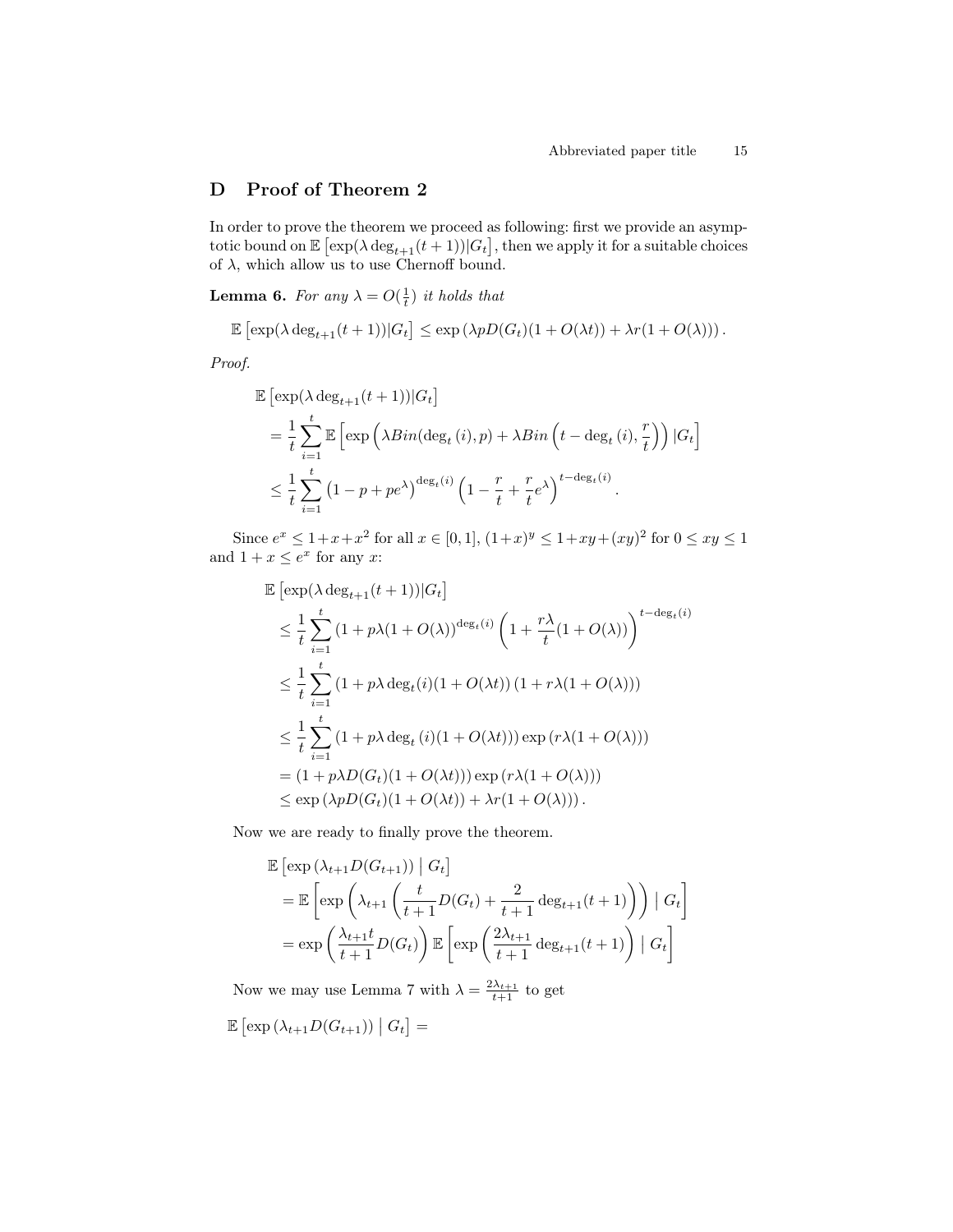# D Proof of Theorem 2

In order to prove the theorem we proceed as following: first we provide an asymptotic bound on  $\mathbb{E}\left[\exp(\lambda \deg_{t+1}(t+1))|G_t\right]$ , then we apply it for a suitable choices of  $\lambda$ , which allow us to use Chernoff bound.

**Lemma 6.** For any  $\lambda = O(\frac{1}{t})$  it holds that

$$
\mathbb{E}\left[\exp(\lambda \deg_{t+1}(t+1))|G_t\right] \leq \exp\left(\lambda p D(G_t)(1+O(\lambda t))+\lambda r(1+O(\lambda))\right).
$$

Proof.

$$
\mathbb{E}\left[\exp(\lambda \deg_{t+1}(t+1))|G_t\right]
$$
\n
$$
= \frac{1}{t} \sum_{i=1}^t \mathbb{E}\left[\exp\left(\lambda Bin(\deg_t(i), p) + \lambda Bin\left(t - \deg_t(i), \frac{r}{t}\right)\right)|G_t\right]
$$
\n
$$
\leq \frac{1}{t} \sum_{i=1}^t \left(1 - p + pe^{\lambda}\right)^{\deg_t(i)} \left(1 - \frac{r}{t} + \frac{r}{t}e^{\lambda}\right)^{t - \deg_t(i)}.
$$

Since  $e^x \leq 1 + x + x^2$  for all  $x \in [0, 1]$ ,  $(1+x)^y \leq 1 + xy + (xy)^2$  for  $0 \leq xy \leq 1$ and  $1 + x \leq e^x$  for any x:

$$
\mathbb{E}\left[\exp(\lambda \deg_{t+1}(t+1))|G_t\right]
$$
\n
$$
\leq \frac{1}{t} \sum_{i=1}^t (1 + p\lambda(1 + O(\lambda))^{deg_t(i)} \left(1 + \frac{r\lambda}{t}(1 + O(\lambda))\right)^{t - deg_t(i)}
$$
\n
$$
\leq \frac{1}{t} \sum_{i=1}^t (1 + p\lambda \deg_t(i)(1 + O(\lambda t)) (1 + r\lambda(1 + O(\lambda)))
$$
\n
$$
\leq \frac{1}{t} \sum_{i=1}^t (1 + p\lambda \deg_t(i)(1 + O(\lambda t))) \exp(r\lambda(1 + O(\lambda)))
$$
\n
$$
= (1 + p\lambda D(G_t)(1 + O(\lambda t))) \exp(r\lambda(1 + O(\lambda)))
$$
\n
$$
\leq \exp(\lambda p D(G_t)(1 + O(\lambda t)) + \lambda r(1 + O(\lambda))).
$$

Now we are ready to finally prove the theorem.

$$
\mathbb{E}\left[\exp\left(\lambda_{t+1}D(G_{t+1})\right) \mid G_t\right]
$$
\n
$$
= \mathbb{E}\left[\exp\left(\lambda_{t+1}\left(\frac{t}{t+1}D(G_t) + \frac{2}{t+1}\deg_{t+1}(t+1)\right)\right) \mid G_t\right]
$$
\n
$$
= \exp\left(\frac{\lambda_{t+1}t}{t+1}D(G_t)\right) \mathbb{E}\left[\exp\left(\frac{2\lambda_{t+1}}{t+1}\deg_{t+1}(t+1)\right) \mid G_t\right]
$$

Now we may use Lemma 7 with  $\lambda = \frac{2\lambda_{t+1}}{t+1}$  to get

$$
\mathbb{E}\left[\exp\left(\lambda_{t+1}D(G_{t+1})\right)\mid G_t\right] =
$$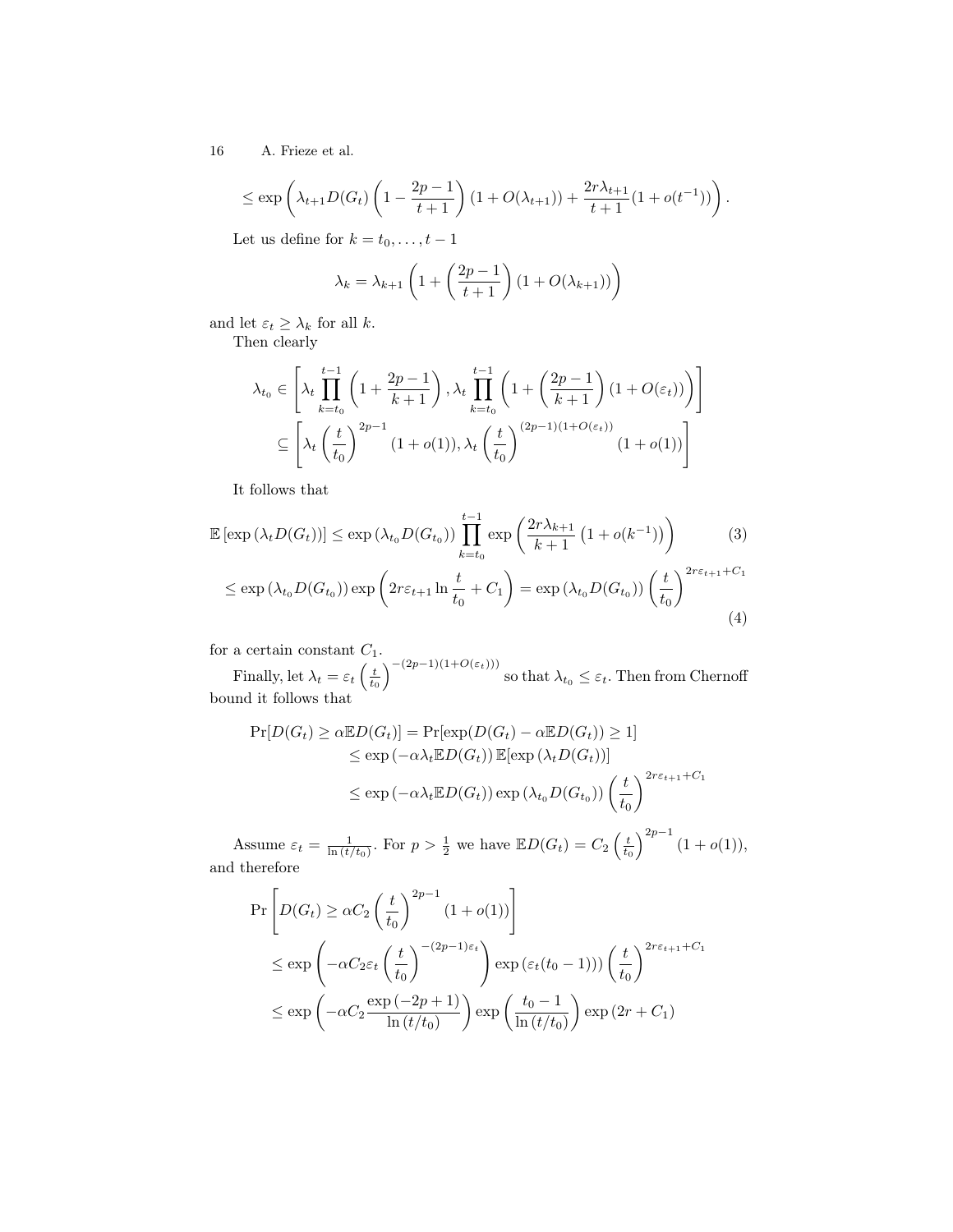$$
\leq \exp\left(\lambda_{t+1}D(G_t)\left(1-\frac{2p-1}{t+1}\right)(1+O(\lambda_{t+1})) + \frac{2r\lambda_{t+1}}{t+1}(1+o(t^{-1}))\right).
$$

Let us define for  $k=t_0,\ldots,t-1$ 

$$
\lambda_k = \lambda_{k+1} \left( 1 + \left( \frac{2p-1}{t+1} \right) (1 + O(\lambda_{k+1})) \right)
$$

and let  $\varepsilon_t \geq \lambda_k$  for all  $k$ .

Then clearly

$$
\lambda_{t_0} \in \left[ \lambda_t \prod_{k=t_0}^{t-1} \left( 1 + \frac{2p-1}{k+1} \right), \lambda_t \prod_{k=t_0}^{t-1} \left( 1 + \left( \frac{2p-1}{k+1} \right) (1 + O(\varepsilon_t)) \right) \right]
$$
  

$$
\subseteq \left[ \lambda_t \left( \frac{t}{t_0} \right)^{2p-1} (1 + o(1)), \lambda_t \left( \frac{t}{t_0} \right)^{(2p-1)(1+O(\varepsilon_t))} (1 + o(1)) \right]
$$

It follows that

$$
\mathbb{E}\left[\exp\left(\lambda_t D(G_t)\right)\right] \leq \exp\left(\lambda_{t_0} D(G_{t_0})\right) \prod_{k=t_0}^{t-1} \exp\left(\frac{2r\lambda_{k+1}}{k+1} \left(1 + o(k^{-1})\right)\right) \tag{3}
$$
\n
$$
\leq \exp\left(\lambda_{t_0} D(G_{t_0})\right) \exp\left(2r\varepsilon_{t+1} \ln \frac{t}{t_0} + C_1\right) = \exp\left(\lambda_{t_0} D(G_{t_0})\right) \left(\frac{t}{t_0}\right)^{2r\varepsilon_{t+1} + C_1} \tag{4}
$$

for a certain constant  $C_1$ .

Finally, let  $\lambda_t = \varepsilon_t \left(\frac{t}{t_0}\right)^{-(2p-1)(1+O(\varepsilon_t)))}$  so that  $\lambda_{t_0} \leq \varepsilon_t$ . Then from Chernoff bound it follows that

$$
\Pr[D(G_t) \ge \alpha \mathbb{E}D(G_t)] = \Pr[\exp(D(G_t) - \alpha \mathbb{E}D(G_t)) \ge 1] \\
\le \exp(-\alpha \lambda_t \mathbb{E}D(G_t)) \mathbb{E}[\exp(\lambda_t D(G_t))] \\
\le \exp(-\alpha \lambda_t \mathbb{E}D(G_t)) \exp(\lambda_{t_0}D(G_{t_0})) \left(\frac{t}{t_0}\right)^{2r\epsilon_{t+1} + C_1}
$$

Assume  $\varepsilon_t = \frac{1}{\ln(t/t_0)}$ . For  $p > \frac{1}{2}$  we have  $\mathbb{E}D(G_t) = C_2\left(\frac{t}{t_0}\right)^{2p-1}(1+o(1)),$ and therefore

$$
\Pr\left[D(G_t) \ge \alpha C_2 \left(\frac{t}{t_0}\right)^{2p-1} (1 + o(1))\right]
$$
  
\n
$$
\le \exp\left(-\alpha C_2 \varepsilon_t \left(\frac{t}{t_0}\right)^{-(2p-1)\varepsilon_t}\right) \exp\left(\varepsilon_t (t_0 - 1)\right)) \left(\frac{t}{t_0}\right)^{2r\varepsilon_{t+1} + C_1}
$$
  
\n
$$
\le \exp\left(-\alpha C_2 \frac{\exp\left(-2p + 1\right)}{\ln\left(t/t_0\right)}\right) \exp\left(\frac{t_0 - 1}{\ln\left(t/t_0\right)}\right) \exp\left(2r + C_1\right)
$$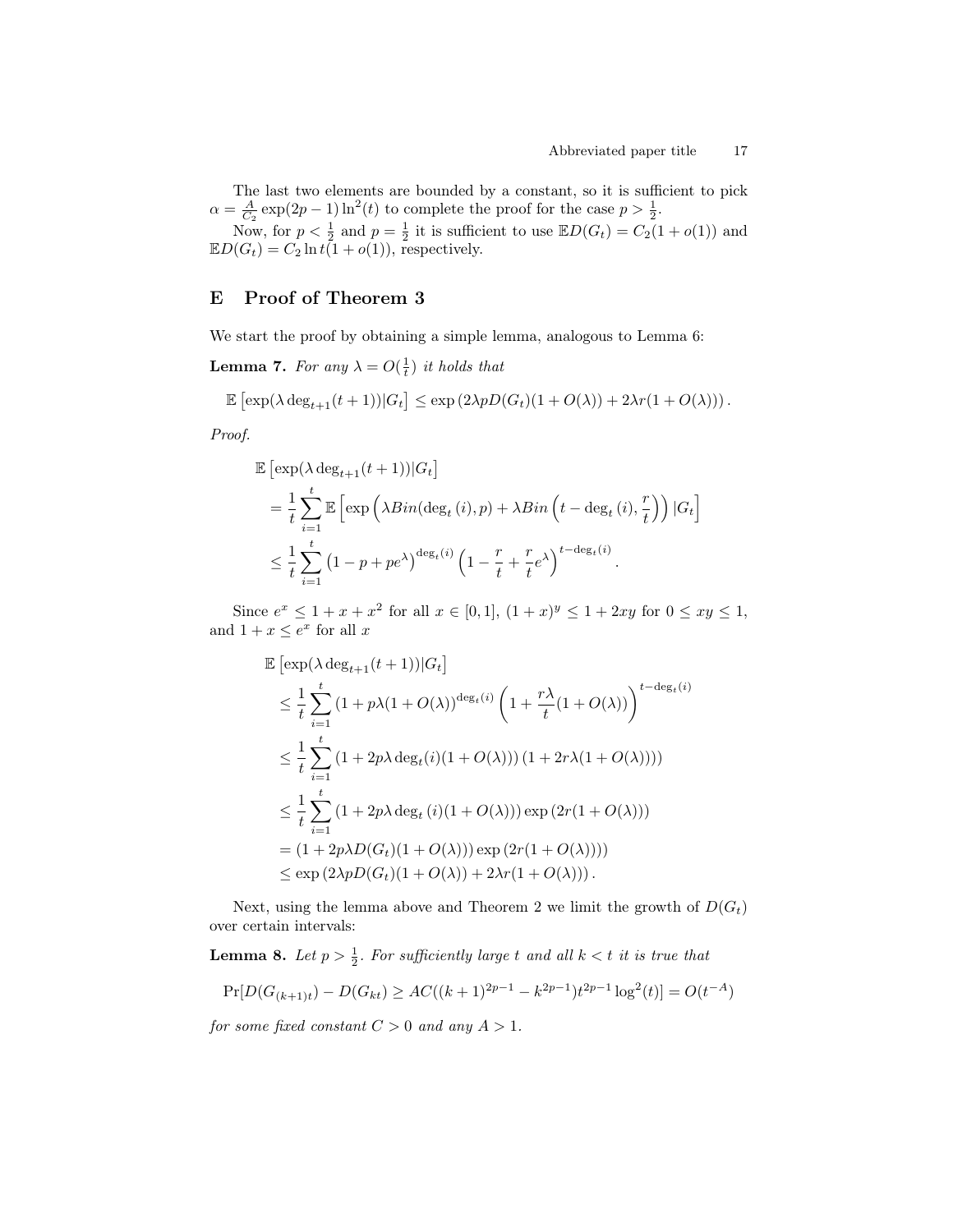The last two elements are bounded by a constant, so it is sufficient to pick  $\alpha = \frac{A}{C_2} \exp(2p-1) \ln^2(t)$  to complete the proof for the case  $p > \frac{1}{2}$ .

Now, for  $p < \frac{1}{2}$  and  $p = \frac{1}{2}$  it is sufficient to use  $\mathbb{E}D(G_t) = C_2(1 + o(1))$  and  $\mathbb{E}D(G_t) = C_2 \ln t(1+o(1)),$  respectively.

## E Proof of Theorem 3

We start the proof by obtaining a simple lemma, analogous to Lemma 6:

**Lemma 7.** For any  $\lambda = O(\frac{1}{t})$  it holds that

$$
\mathbb{E}\left[\exp(\lambda \deg_{t+1}(t+1))|G_t\right] \leq \exp\left(2\lambda p D(G_t)(1+O(\lambda)) + 2\lambda r(1+O(\lambda))\right).
$$

Proof.

$$
\mathbb{E}\left[\exp(\lambda \deg_{t+1}(t+1))|G_t\right]
$$
\n
$$
= \frac{1}{t} \sum_{i=1}^t \mathbb{E}\left[\exp\left(\lambda Bin(\deg_t(i), p) + \lambda Bin\left(t - \deg_t(i), \frac{r}{t}\right)\right)|G_t\right]
$$
\n
$$
\leq \frac{1}{t} \sum_{i=1}^t \left(1 - p + pe^{\lambda}\right)^{\deg_t(i)} \left(1 - \frac{r}{t} + \frac{r}{t}e^{\lambda}\right)^{t - \deg_t(i)}.
$$

Since  $e^x \le 1 + x + x^2$  for all  $x \in [0,1]$ ,  $(1+x)^y \le 1 + 2xy$  for  $0 \le xy \le 1$ , and  $1 + x \leq e^x$  for all x

$$
\mathbb{E}\left[\exp(\lambda \deg_{t+1}(t+1))|G_t\right]
$$
\n
$$
\leq \frac{1}{t} \sum_{i=1}^t (1 + p\lambda(1 + O(\lambda))^{deg_t(i)} \left(1 + \frac{r\lambda}{t}(1 + O(\lambda))\right)^{t - deg_t(i)}
$$
\n
$$
\leq \frac{1}{t} \sum_{i=1}^t (1 + 2p\lambda \deg_t(i)(1 + O(\lambda))) (1 + 2r\lambda(1 + O(\lambda))))
$$
\n
$$
\leq \frac{1}{t} \sum_{i=1}^t (1 + 2p\lambda \deg_t(i)(1 + O(\lambda))) \exp(2r(1 + O(\lambda)))
$$
\n
$$
= (1 + 2p\lambda D(G_t)(1 + O(\lambda))) \exp(2r(1 + O(\lambda)))
$$
\n
$$
\leq \exp(2\lambda p D(G_t)(1 + O(\lambda)) + 2\lambda r(1 + O(\lambda))).
$$

Next, using the lemma above and Theorem 2 we limit the growth of  $D(G_t)$ over certain intervals:

**Lemma 8.** Let  $p > \frac{1}{2}$ . For sufficiently large t and all  $k < t$  it is true that

$$
\Pr[D(G_{(k+1)t}) - D(G_{kt}) \ge AC((k+1)^{2p-1} - k^{2p-1})t^{2p-1}\log^2(t)] = O(t^{-A})
$$

for some fixed constant  $C > 0$  and any  $A > 1$ .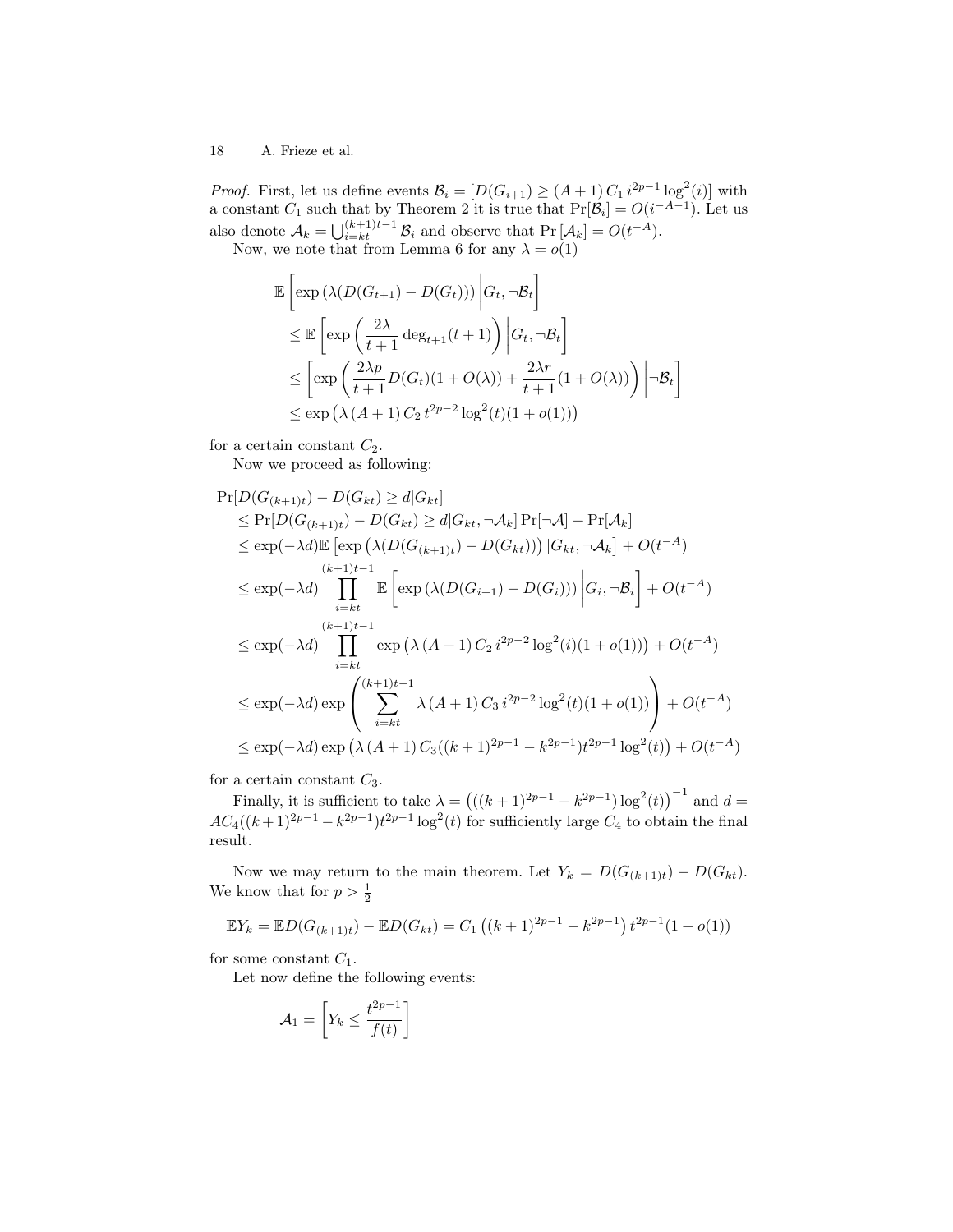*Proof.* First, let us define events  $\mathcal{B}_i = [D(G_{i+1}) \geq (A+1)C_1 i^{2p-1} \log^2(i)]$  with a constant  $C_1$  such that by Theorem 2 it is true that  $Pr[\mathcal{B}_i] = O(i^{-A-1})$ . Let us also denote  $A_k = \bigcup_{i=kt}^{(k+1)t-1} \mathcal{B}_i$  and observe that  $\Pr[A_k] = O(t^{-A}).$ 

Now, we note that from Lemma 6 for any  $\lambda = o(1)$ 

$$
\mathbb{E}\left[\exp\left(\lambda(D(G_{t+1})-D(G_t))\right)\bigg|G_t, \neg B_t\right]
$$
\n
$$
\leq \mathbb{E}\left[\exp\left(\frac{2\lambda}{t+1}\deg_{t+1}(t+1)\right)\bigg|G_t, \neg B_t\right]
$$
\n
$$
\leq \left[\exp\left(\frac{2\lambda p}{t+1}D(G_t)(1+O(\lambda))+\frac{2\lambda r}{t+1}(1+O(\lambda))\right)\bigg|\neg B_t\right]
$$
\n
$$
\leq \exp\left(\lambda\left(A+1\right)C_2t^{2p-2}\log^2(t)(1+o(1))\right)
$$

for a certain constant  $C_2$ .

Now we proceed as following:

$$
\Pr[D(G_{(k+1)t}) - D(G_{kt}) \ge d | G_{kt}]
$$
\n
$$
\le \Pr[D(G_{(k+1)t}) - D(G_{kt}) \ge d | G_{kt}, \neg A_k] \Pr[\neg A] + \Pr[A_k]
$$
\n
$$
\le \exp(-\lambda d) \mathbb{E} \left[ \exp(\lambda (D(G_{(k+1)t}) - D(G_{kt}))) | G_{kt}, \neg A_k \right] + O(t^{-A})
$$
\n
$$
\le \exp(-\lambda d) \prod_{i=kt}^{(k+1)t-1} \mathbb{E} \left[ \exp(\lambda (D(G_{i+1}) - D(G_i))) | G_i, \neg B_i \right] + O(t^{-A})
$$
\n
$$
\le \exp(-\lambda d) \prod_{i=kt}^{(k+1)t-1} \exp(\lambda (A+1) C_2 i^{2p-2} \log^2(i) (1+o(1))) + O(t^{-A})
$$
\n
$$
\le \exp(-\lambda d) \exp \left( \sum_{i=kt}^{(k+1)t-1} \lambda (A+1) C_3 i^{2p-2} \log^2(t) (1+o(1)) \right) + O(t^{-A})
$$
\n
$$
\le \exp(-\lambda d) \exp(\lambda (A+1) C_3 ((k+1)^{2p-1} - k^{2p-1}) t^{2p-1} \log^2(t)) + O(t^{-A})
$$

for a certain constant  $C_3$ .

Finally, it is sufficient to take  $\lambda = ((k+1)^{2p-1} - k^{2p-1}) \log^2(t))$ <sup>-1</sup> and  $d =$  $AC_4((k+1)^{2p-1}-k^{2p-1})t^{2p-1}\log^2(t)$  for sufficiently large  $C_4$  to obtain the final result.

Now we may return to the main theorem. Let  $Y_k = D(G_{(k+1)t}) - D(G_{kt})$ . We know that for  $p > \frac{1}{2}$ 

$$
\mathbb{E}Y_k = \mathbb{E}D(G_{(k+1)t}) - \mathbb{E}D(G_{kt}) = C_1((k+1)^{2p-1} - k^{2p-1})t^{2p-1}(1+o(1))
$$

for some constant  $C_1$ .

Let now define the following events:

$$
\mathcal{A}_1 = \left[ Y_k \le \frac{t^{2p-1}}{f(t)} \right]
$$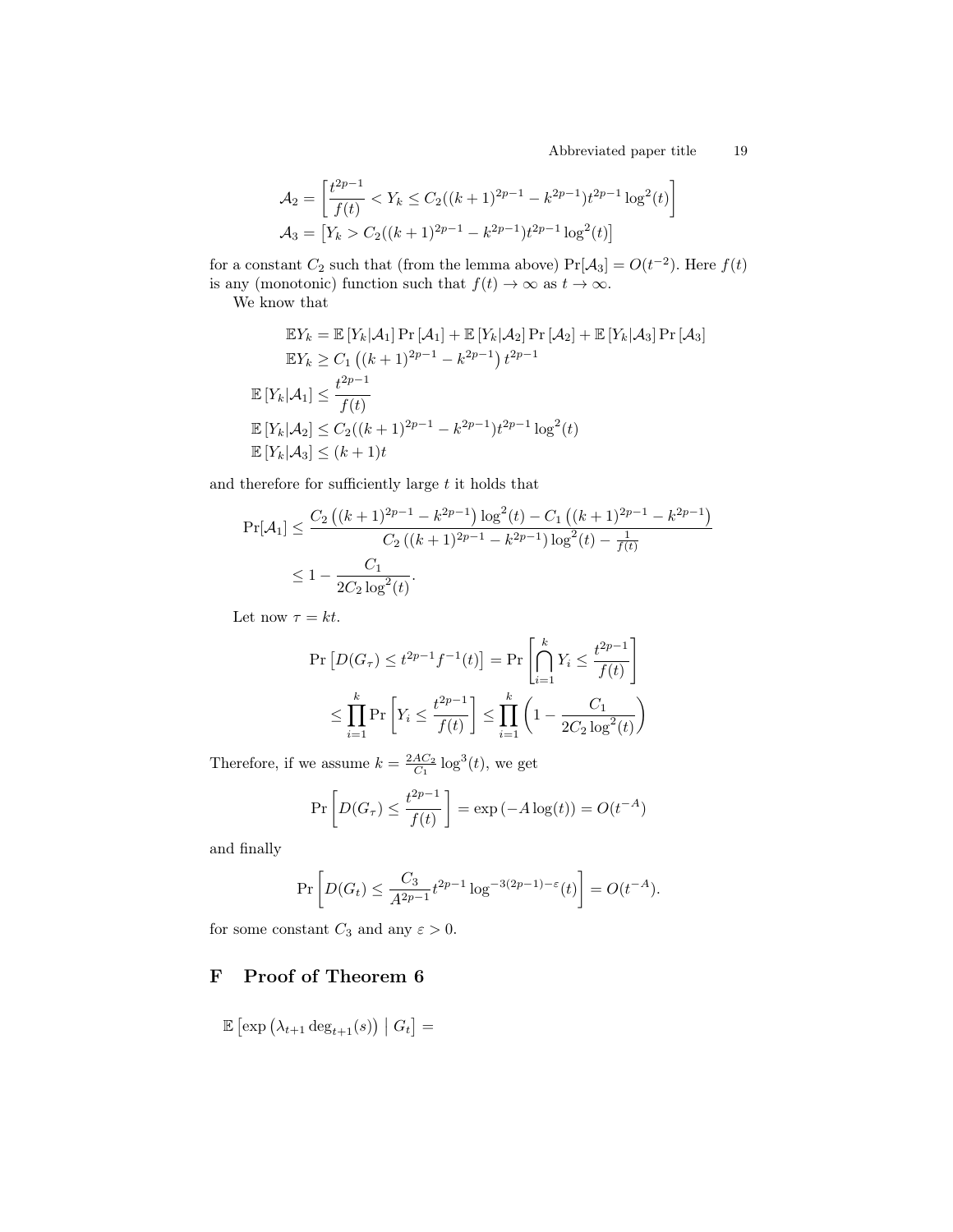$$
\mathcal{A}_2 = \left[ \frac{t^{2p-1}}{f(t)} < Y_k \le C_2((k+1)^{2p-1} - k^{2p-1})t^{2p-1} \log^2(t) \right]
$$
\n
$$
\mathcal{A}_3 = \left[ Y_k > C_2((k+1)^{2p-1} - k^{2p-1})t^{2p-1} \log^2(t) \right]
$$

for a constant  $C_2$  such that (from the lemma above)  $Pr[\mathcal{A}_3] = O(t^{-2})$ . Here  $f(t)$ is any (monotonic) function such that  $f(t) \to \infty$  as  $t \to \infty$ .

We know that

$$
\mathbb{E}Y_k = \mathbb{E}\left[Y_k|\mathcal{A}_1\right] \Pr\left[\mathcal{A}_1\right] + \mathbb{E}\left[Y_k|\mathcal{A}_2\right] \Pr\left[\mathcal{A}_2\right] + \mathbb{E}\left[Y_k|\mathcal{A}_3\right] \Pr\left[\mathcal{A}_3\right]
$$
  
\n
$$
\mathbb{E}Y_k \ge C_1 \left( (k+1)^{2p-1} - k^{2p-1} \right) t^{2p-1}
$$
  
\n
$$
\mathbb{E}\left[Y_k|\mathcal{A}_1\right] \le \frac{t^{2p-1}}{f(t)}
$$
  
\n
$$
\mathbb{E}\left[Y_k|\mathcal{A}_2\right] \le C_2((k+1)^{2p-1} - k^{2p-1})t^{2p-1} \log^2(t)
$$
  
\n
$$
\mathbb{E}\left[Y_k|\mathcal{A}_3\right] \le (k+1)t
$$

and therefore for sufficiently large  $t$  it holds that

$$
\Pr[\mathcal{A}_1] \le \frac{C_2 \left( (k+1)^{2p-1} - k^{2p-1} \right) \log^2(t) - C_1 \left( (k+1)^{2p-1} - k^{2p-1} \right)}{C_2 \left( (k+1)^{2p-1} - k^{2p-1} \right) \log^2(t) - \frac{1}{f(t)}} \le 1 - \frac{C_1}{2C_2 \log^2(t)}.
$$

Let now  $\tau = kt$ .

$$
\Pr\left[ D(G_{\tau}) \le t^{2p-1} f^{-1}(t) \right] = \Pr\left[ \bigcap_{i=1}^{k} Y_i \le \frac{t^{2p-1}}{f(t)} \right]
$$
  

$$
\le \prod_{i=1}^{k} \Pr\left[ Y_i \le \frac{t^{2p-1}}{f(t)} \right] \le \prod_{i=1}^{k} \left( 1 - \frac{C_1}{2C_2 \log^2(t)} \right)
$$

Therefore, if we assume  $k = \frac{2AC_2}{C_1} \log^3(t)$ , we get

$$
\Pr\left[D(G_{\tau}) \le \frac{t^{2p-1}}{f(t)}\right] = \exp\left(-A\log(t)\right) = O(t^{-A})
$$

and finally

$$
\Pr\left[D(G_t) \le \frac{C_3}{A^{2p-1}} t^{2p-1} \log^{-3(2p-1)-\varepsilon}(t)\right] = O(t^{-A}).
$$

for some constant  $C_3$  and any  $\varepsilon > 0$ .

# F Proof of Theorem 6

$$
\mathbb{E}\left[\exp\left(\lambda_{t+1}\deg_{t+1}(s)\right) \mid G_t\right] =
$$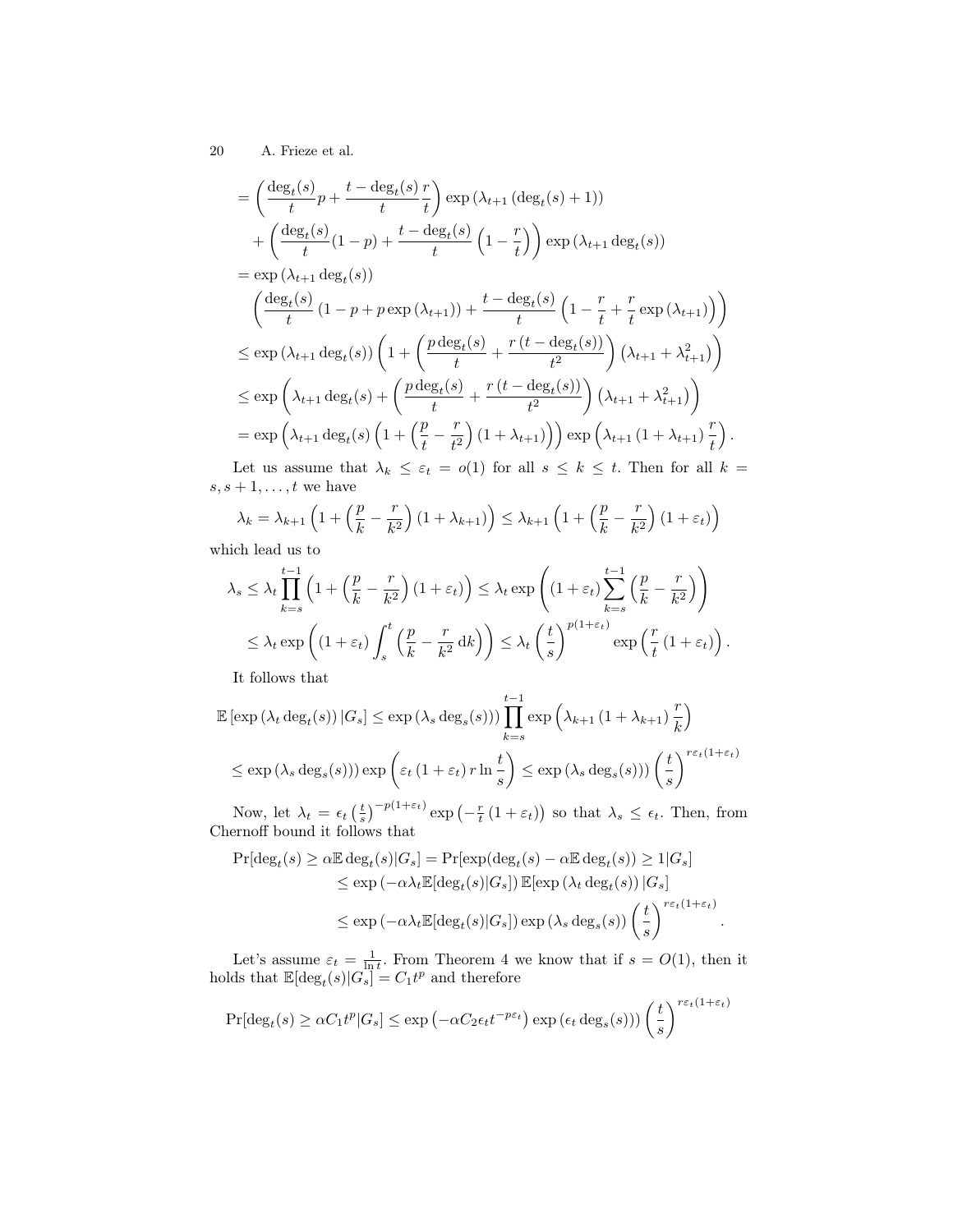$$
= \left(\frac{\deg_t(s)}{t}p + \frac{t - \deg_t(s)}{t}\frac{r}{t}\right) \exp\left(\lambda_{t+1}\left(\deg_t(s) + 1\right)\right)
$$
  
+ 
$$
\left(\frac{\deg_t(s)}{t}(1 - p) + \frac{t - \deg_t(s)}{t}\left(1 - \frac{r}{t}\right)\right) \exp\left(\lambda_{t+1}\deg_t(s)\right)
$$
  
= 
$$
\exp\left(\lambda_{t+1}\deg_t(s)\right)
$$
  

$$
\left(\frac{\deg_t(s)}{t}(1 - p + p\exp\left(\lambda_{t+1}\right)\right) + \frac{t - \deg_t(s)}{t}\left(1 - \frac{r}{t} + \frac{r}{t}\exp\left(\lambda_{t+1}\right)\right)\right)
$$
  

$$
\leq \exp\left(\lambda_{t+1}\deg_t(s)\right)\left(1 + \left(\frac{p\deg_t(s)}{t} + \frac{r\left(t - \deg_t(s)\right)}{t^2}\right)\left(\lambda_{t+1} + \lambda_{t+1}^2\right)\right)
$$
  

$$
\leq \exp\left(\lambda_{t+1}\deg_t(s) + \left(\frac{p\deg_t(s)}{t} + \frac{r\left(t - \deg_t(s)\right)}{t^2}\right)\left(\lambda_{t+1} + \lambda_{t+1}^2\right)\right)
$$
  
= 
$$
\exp\left(\lambda_{t+1}\deg_t(s)\left(1 + \left(\frac{p}{t} - \frac{r}{t^2}\right)(1 + \lambda_{t+1})\right)\right) \exp\left(\lambda_{t+1}\left(1 + \lambda_{t+1}\right)\frac{r}{t}\right).
$$

Let us assume that  $\lambda_k \leq \varepsilon_t = o(1)$  for all  $s \leq k \leq t$ . Then for all  $k =$  $s, s + 1, \ldots, t$  we have

$$
\lambda_k = \lambda_{k+1} \left( 1 + \left( \frac{p}{k} - \frac{r}{k^2} \right) (1 + \lambda_{k+1}) \right) \le \lambda_{k+1} \left( 1 + \left( \frac{p}{k} - \frac{r}{k^2} \right) (1 + \varepsilon_t) \right)
$$

which lead us to

$$
\lambda_s \leq \lambda_t \prod_{k=s}^{t-1} \left( 1 + \left( \frac{p}{k} - \frac{r}{k^2} \right) (1 + \varepsilon_t) \right) \leq \lambda_t \exp \left( (1 + \varepsilon_t) \sum_{k=s}^{t-1} \left( \frac{p}{k} - \frac{r}{k^2} \right) \right)
$$
  

$$
\leq \lambda_t \exp \left( (1 + \varepsilon_t) \int_s^t \left( \frac{p}{k} - \frac{r}{k^2} dk \right) \right) \leq \lambda_t \left( \frac{t}{s} \right)^{p(1 + \varepsilon_t)} \exp \left( \frac{r}{t} (1 + \varepsilon_t) \right).
$$

It follows that

$$
\mathbb{E} \left[ \exp \left( \lambda_t \deg_t(s) \right) | G_s \right] \le \exp \left( \lambda_s \deg_s(s) \right) \prod_{k=s}^{t-1} \exp \left( \lambda_{k+1} \left( 1 + \lambda_{k+1} \right) \frac{r}{k} \right)
$$
  

$$
\le \exp \left( \lambda_s \deg_s(s) \right) \exp \left( \varepsilon_t \left( 1 + \varepsilon_t \right) r \ln \frac{t}{s} \right) \le \exp \left( \lambda_s \deg_s(s) \right) \left( \frac{t}{s} \right)^{r \varepsilon_t (1 + \varepsilon_t)}
$$

Now, let  $\lambda_t = \epsilon_t \left(\frac{t}{s}\right)^{-p(1+\varepsilon_t)} \exp\left(-\frac{r}{t}(1+\varepsilon_t)\right)$  so that  $\lambda_s \leq \epsilon_t$ . Then, from Chernoff bound it follows that

$$
\begin{split} \Pr[\deg_t(s) &\geq \alpha \mathbb{E} \deg_t(s) | G_s] = \Pr[\exp(\deg_t(s) - \alpha \mathbb{E} \deg_t(s)) \geq 1 | G_s] \\ &\leq \exp(-\alpha \lambda_t \mathbb{E}[\deg_t(s) | G_s]) \mathbb{E}[\exp(\lambda_t \deg_t(s)) | G_s] \\ &\leq \exp(-\alpha \lambda_t \mathbb{E}[\deg_t(s) | G_s]) \exp(\lambda_s \deg_s(s)) \left(\frac{t}{s}\right)^{r \epsilon_t (1+\epsilon_t)} . \end{split}
$$

Let's assume  $\varepsilon_t = \frac{1}{\ln t}$ . From Theorem 4 we know that if  $s = O(1)$ , then it holds that  $\mathbb{E}[\deg_t(s)|G_s] = C_1 t^p$  and therefore

$$
\Pr[\deg_t(s) \ge \alpha C_1 t^p | G_s] \le \exp\left(-\alpha C_2 \epsilon_t t^{-p\varepsilon_t}\right) \exp\left(\epsilon_t \deg_s(s)\right) \left(\frac{t}{s}\right)^{r\varepsilon_t(1+\varepsilon_t)}
$$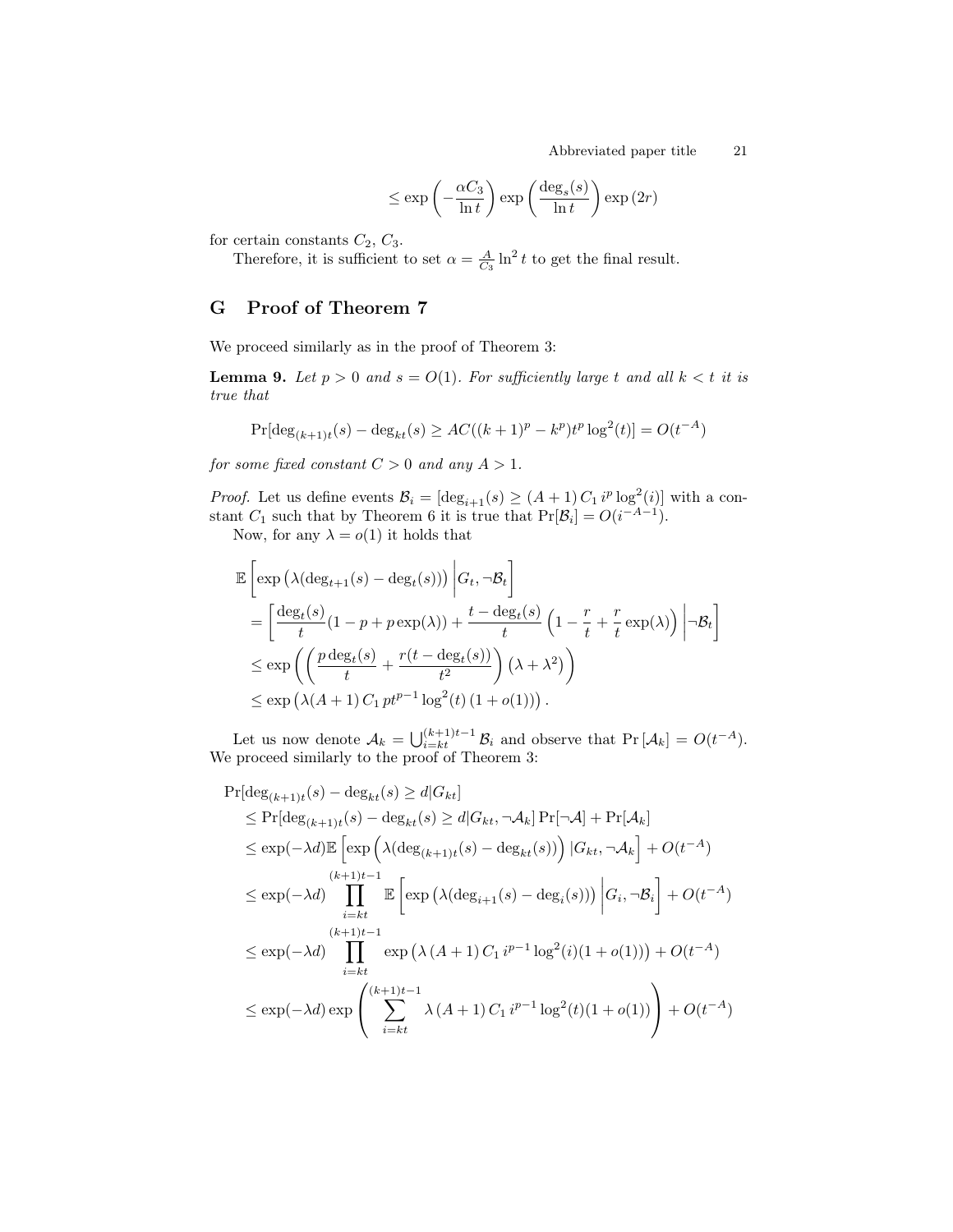Abbreviated paper title 21

$$
\leq
$$
 exp  $\left(-\frac{\alpha C_3}{\ln t}\right)$  exp  $\left(\frac{\deg_s(s)}{\ln t}\right)$  exp  $(2r)$ 

for certain constants  $C_2, C_3$ .

Therefore, it is sufficient to set  $\alpha = \frac{A}{C_3} \ln^2 t$  to get the final result.

# G Proof of Theorem 7

We proceed similarly as in the proof of Theorem 3:

**Lemma 9.** Let  $p > 0$  and  $s = O(1)$ . For sufficiently large t and all  $k < t$  it is true that

$$
\Pr[\deg_{(k+1)t}(s) - \deg_{kt}(s) \ge AC((k+1)^p - k^p)t^p \log^2(t)] = O(t^{-A})
$$

for some fixed constant  $C > 0$  and any  $A > 1$ .

*Proof.* Let us define events  $\mathcal{B}_i = [\deg_{i+1}(s) \geq (A+1)C_1 i^p \log^2(i)]$  with a constant  $C_1$  such that by Theorem 6 it is true that  $Pr[\mathcal{B}_i] = O(i^{-A-1}).$ 

Now, for any  $\lambda = o(1)$  it holds that

$$
\mathbb{E}\left[\exp\left(\lambda(\deg_{t+1}(s) - \deg_t(s))\right) \Big| G_t, \neg B_t\right]
$$
\n
$$
= \left[\frac{\deg_t(s)}{t}(1 - p + p\exp(\lambda)) + \frac{t - \deg_t(s)}{t}\left(1 - \frac{r}{t} + \frac{r}{t}\exp(\lambda)\right) \Big| \neg B_t\right]
$$
\n
$$
\leq \exp\left(\left(\frac{p\deg_t(s)}{t} + \frac{r(t - \deg_t(s))}{t^2}\right)(\lambda + \lambda^2)\right)
$$
\n
$$
\leq \exp\left(\lambda(A + 1) C_1 p t^{p-1} \log^2(t) (1 + o(1))\right).
$$

Let us now denote  $A_k = \bigcup_{i=kt}^{(k+1)t-1} \mathcal{B}_i$  and observe that  $\Pr[\mathcal{A}_k] = O(t^{-A}).$ We proceed similarly to the proof of Theorem 3:

$$
\Pr[\deg_{(k+1)t}(s) - \deg_{kt}(s) \ge d | G_{kt}]
$$
\n
$$
\le \Pr[\deg_{(k+1)t}(s) - \deg_{kt}(s) \ge d | G_{kt}, \neg A_k] \Pr[\neg A] + \Pr[A_k]
$$
\n
$$
\le \exp(-\lambda d) \mathbb{E} \left[ \exp \left( \lambda (\deg_{(k+1)t}(s) - \deg_{kt}(s)) \right) | G_{kt}, \neg A_k \right] + O(t^{-A})
$$
\n
$$
\le \exp(-\lambda d) \prod_{i=kt}^{(k+1)t-1} \mathbb{E} \left[ \exp \left( \lambda (\deg_{i+1}(s) - \deg_i(s)) \right) | G_i, \neg B_i \right] + O(t^{-A})
$$
\n
$$
\le \exp(-\lambda d) \prod_{i=kt}^{(k+1)t-1} \exp \left( \lambda (A+1) C_1 i^{p-1} \log^2(i) (1+o(1)) \right) + O(t^{-A})
$$
\n
$$
\le \exp(-\lambda d) \exp \left( \sum_{i=kt}^{(k+1)t-1} \lambda (A+1) C_1 i^{p-1} \log^2(t) (1+o(1)) \right) + O(t^{-A})
$$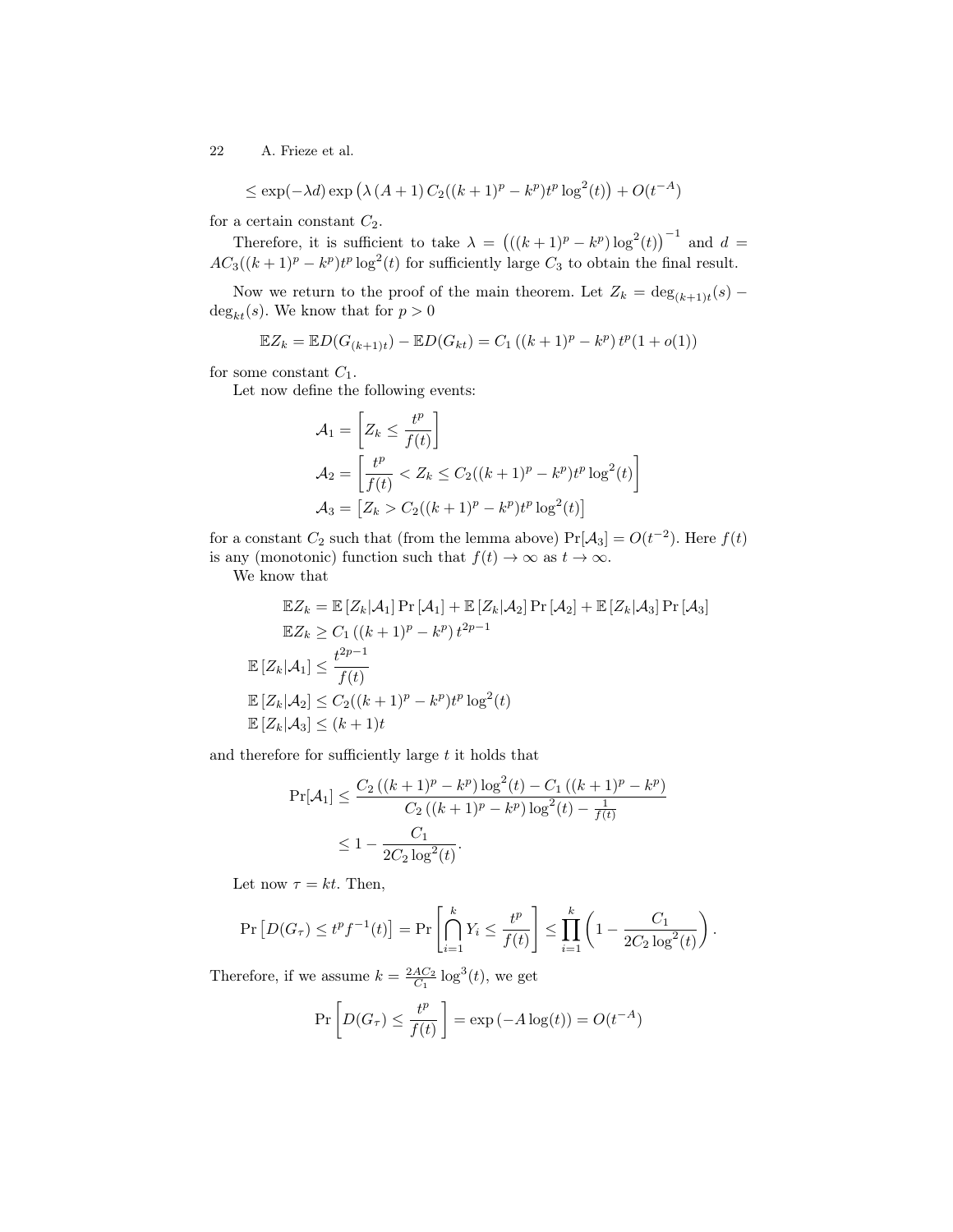$$
\leq \exp(-\lambda d) \exp\left(\lambda (A+1) C_2((k+1)^p - k^p)t^p \log^2(t)\right) + O(t^{-A})
$$

for a certain constant  $C_2$ .

Therefore, it is sufficient to take  $\lambda = ((k+1)^p - k^p) \log^2(t))^{-1}$  and  $d =$  $AC_3((k+1)^p - k^p)t^p \log^2(t)$  for sufficiently large  $C_3$  to obtain the final result.

Now we return to the proof of the main theorem. Let  $Z_k = \deg_{(k+1)t}(s)$  –  $deg_{kt}(s)$ . We know that for  $p > 0$ 

$$
\mathbb{E}Z_k = \mathbb{E}D(G_{(k+1)t}) - \mathbb{E}D(G_{kt}) = C_1((k+1)^p - k^p)t^p(1+o(1))
$$

for some constant  $C_1$ .

Let now define the following events:

$$
\mathcal{A}_1 = \left[ Z_k \le \frac{t^p}{f(t)} \right]
$$
  
\n
$$
\mathcal{A}_2 = \left[ \frac{t^p}{f(t)} < Z_k \le C_2((k+1)^p - k^p)t^p \log^2(t) \right]
$$
  
\n
$$
\mathcal{A}_3 = \left[ Z_k > C_2((k+1)^p - k^p)t^p \log^2(t) \right]
$$

for a constant  $C_2$  such that (from the lemma above)  $Pr[\mathcal{A}_3] = O(t^{-2})$ . Here  $f(t)$ is any (monotonic) function such that  $f(t) \to \infty$  as  $t \to \infty$ .

We know that

$$
\mathbb{E}Z_k = \mathbb{E}\left[Z_k|\mathcal{A}_1\right] \Pr\left[\mathcal{A}_1\right] + \mathbb{E}\left[Z_k|\mathcal{A}_2\right] \Pr\left[\mathcal{A}_2\right] + \mathbb{E}\left[Z_k|\mathcal{A}_3\right] \Pr\left[\mathcal{A}_3\right]
$$

$$
\mathbb{E}Z_k \ge C_1 \left( (k+1)^p - k^p \right) t^{2p-1}
$$

$$
\mathbb{E}\left[Z_k|\mathcal{A}_1\right] \le \frac{t^{2p-1}}{f(t)}
$$

$$
\mathbb{E}\left[Z_k|\mathcal{A}_2\right] \le C_2((k+1)^p - k^p)t^p \log^2(t)
$$

$$
\mathbb{E}\left[Z_k|\mathcal{A}_3\right] \le (k+1)t
$$

and therefore for sufficiently large  $t$  it holds that

$$
\Pr[\mathcal{A}_1] \le \frac{C_2\left((k+1)^p - k^p\right)\log^2(t) - C_1\left((k+1)^p - k^p\right)}{C_2\left((k+1)^p - k^p\right)\log^2(t) - \frac{1}{f(t)}} \le 1 - \frac{C_1}{2C_2\log^2(t)}.
$$

Let now  $\tau = kt$ . Then,

$$
\Pr\left[ D(G_{\tau}) \le t^p f^{-1}(t) \right] = \Pr\left[ \bigcap_{i=1}^k Y_i \le \frac{t^p}{f(t)} \right] \le \prod_{i=1}^k \left( 1 - \frac{C_1}{2C_2 \log^2(t)} \right).
$$

Therefore, if we assume  $k = \frac{2AC_2}{C_1} \log^3(t)$ , we get

$$
\Pr\left[D(G_{\tau}) \le \frac{t^p}{f(t)}\right] = \exp\left(-A\log(t)\right) = O(t^{-A})
$$